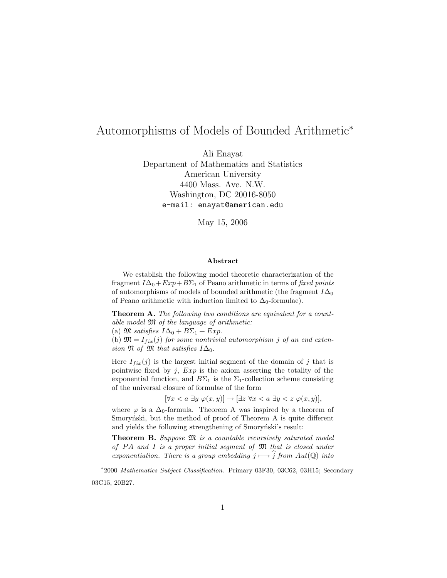# Automorphisms of Models of Bounded Arithmetic<sup>∗</sup>

Ali Enayat

Department of Mathematics and Statistics American University 4400 Mass. Ave. N.W. Washington, DC 20016-8050 e-mail: enayat@american.edu

May 15, 2006

#### Abstract

We establish the following model theoretic characterization of the fragment  $I\Delta_0+Exp+BC_1$  of Peano arithmetic in terms of fixed points of automorphisms of models of bounded arithmetic (the fragment  $I\Delta_0$ of Peano arithmetic with induction limited to  $\Delta_0$ -formulae).

**Theorem A.** The following two conditions are equivalent for a countable model  $\mathfrak{M}$  of the language of arithmetic:

(a)  $\mathfrak{M}$  satisfies  $I\Delta_0 + B\Sigma_1 + Exp$ .

(b)  $\mathfrak{M} = I_{fix}(j)$  for some nontrivial automorphism j of an end extension  $\mathfrak N$  of  $\mathfrak M$  that satisfies  $I\Delta_0$ .

Here  $I_{fix}(j)$  is the largest initial segment of the domain of j that is pointwise fixed by  $j$ ,  $Exp$  is the axiom asserting the totality of the exponential function, and  $B\Sigma_1$  is the  $\Sigma_1$ -collection scheme consisting of the universal closure of formulae of the form

 $[\forall x < a \ \exists y \ \varphi(x, y)] \rightarrow [\exists z \ \forall x < a \ \exists y < z \ \varphi(x, y)],$ 

where  $\varphi$  is a  $\Delta_0$ -formula. Theorem A was inspired by a theorem of Smorynski, but the method of proof of Theorem A is quite different and yields the following strengthening of Smorynski's result:

Theorem B. Suppose  $\mathfrak M$  is a countable recursively saturated model of  $PA$  and  $I$  is a proper initial segment of  $M$  that is closed under exponentiation. There is a group embedding  $j \mapsto \widehat{j}$  from  $Aut(\mathbb{Q})$  into

<sup>∗</sup> 2000 Mathematics Subject Classification. Primary 03F30, 03C62, 03H15; Secondary 03C15, 20B27.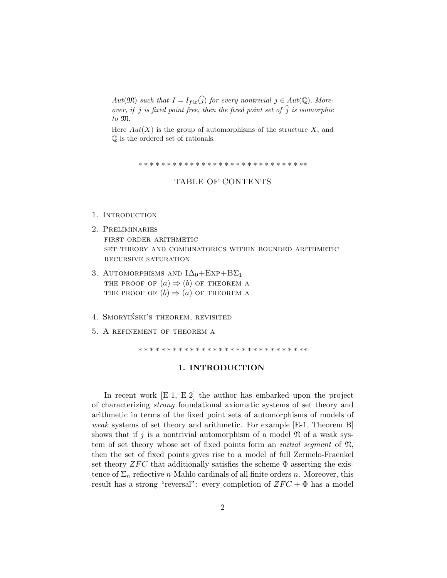Aut $(\mathfrak{M})$  such that  $I = I_{fix}(\widehat{j})$  for every nontrivial  $j \in Aut(\mathbb{Q})$ . Moreover, if j is fixed point free, then the fixed point set of  $\hat{j}$  is isomorphic to M.

Here  $Aut(X)$  is the group of automorphisms of the structure X, and Q is the ordered set of rationals.

∗ ∗ ∗ ∗ ∗ ∗ ∗ ∗ ∗ ∗ ∗ ∗ ∗ ∗ ∗ ∗ ∗ ∗ ∗ ∗ ∗ ∗ ∗ ∗ ∗ ∗ ∗ ∗ ∗∗

### TABLE OF CONTENTS

- 1. INTRODUCTION
- 2. Preliminaries first order arithmetic set theory and combinatorics within bounded arithmetic recursive saturation
- 3. AUTOMORPHISMS AND  $I\Delta_0+Exp+B\Sigma_1$ THE PROOF OF  $(a) \Rightarrow (b)$  OF THEOREM A THE PROOF OF  $(b) \Rightarrow (a)$  OF THEOREM A
- 4. SMORYIŃSKI'S THEOREM, REVISITED
- 5. A refinement of theorem a

∗ ∗ ∗ ∗ ∗ ∗ ∗ ∗ ∗ ∗ ∗ ∗ ∗ ∗ ∗ ∗ ∗ ∗ ∗ ∗ ∗ ∗ ∗ ∗ ∗ ∗ ∗ ∗ ∗∗

#### 1. INTRODUCTION

In recent work [E-1, E-2] the author has embarked upon the project of characterizing strong foundational axiomatic systems of set theory and arithmetic in terms of the fixed point sets of automorphisms of models of weak systems of set theory and arithmetic. For example [E-1, Theorem B] shows that if j is a nontrivial automorphism of a model  $\mathfrak N$  of a weak system of set theory whose set of fixed points form an *initial segment* of  $\mathfrak{N}$ , then the set of fixed points gives rise to a model of full Zermelo-Fraenkel set theory  $ZFC$  that additionally satisfies the scheme  $\Phi$  asserting the existence of  $\Sigma_n$ -reflective *n*-Mahlo cardinals of all finite orders *n*. Moreover, this result has a strong "reversal": every completion of  $ZFC + \Phi$  has a model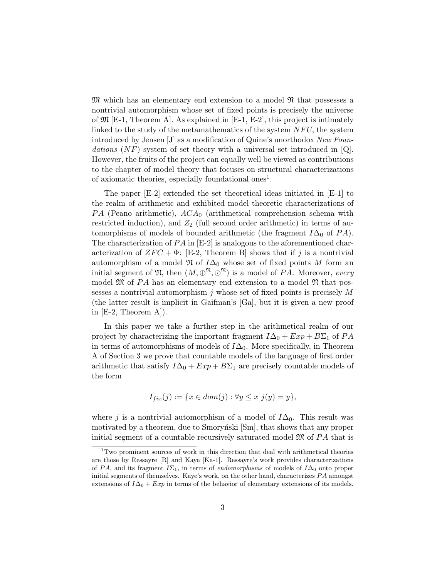$\mathfrak{M}$  which has an elementary end extension to a model  $\mathfrak{N}$  that possesses a nontrivial automorphism whose set of fixed points is precisely the universe of  $\mathfrak{M}$  [E-1, Theorem A]. As explained in [E-1, E-2], this project is intimately linked to the study of the metamathematics of the system  $NFU$ , the system introduced by Jensen [J] as a modification of Quine's unorthodox New Foundations  $(NF)$  system of set theory with a universal set introduced in  $[Q]$ . However, the fruits of the project can equally well be viewed as contributions to the chapter of model theory that focuses on structural characterizations of axiomatic theories, especially foundational ones<sup>1</sup>.

The paper [E-2] extended the set theoretical ideas initiated in [E-1] to the realm of arithmetic and exhibited model theoretic characterizations of PA (Peano arithmetic),  $ACA_0$  (arithmetical comprehension schema with restricted induction), and  $Z_2$  (full second order arithmetic) in terms of automorphisms of models of bounded arithmetic (the fragment  $I\Delta_0$  of  $PA$ ). The characterization of  $PA$  in  $[E-2]$  is analogous to the aforementioned characterization of  $ZFC + \Phi$ : [E-2, Theorem B] shows that if j is a nontrivial automorphism of a model  $\mathfrak{N}$  of  $I\Delta_0$  whose set of fixed points M form an initial segment of  $\mathfrak{N}$ , then  $(M, \oplus^{\mathfrak{N}}, \odot^{\mathfrak{N}})$  is a model of PA. Moreover, every model  $\mathfrak{M}$  of PA has an elementary end extension to a model  $\mathfrak{N}$  that possesses a nontrivial automorphism  $j$  whose set of fixed points is precisely  $M$ (the latter result is implicit in Gaifman's [Ga], but it is given a new proof in  $[E-2, Theorem A].$ 

In this paper we take a further step in the arithmetical realm of our project by characterizing the important fragment  $I\Delta_0 + Exp + B\Sigma_1$  of PA in terms of automorphisms of models of  $I\Delta_0$ . More specifically, in Theorem A of Section 3 we prove that countable models of the language of first order arithmetic that satisfy  $I\Delta_0 + Exp + B\Sigma_1$  are precisely countable models of the form

$$
I_{fix}(j) := \{ x \in dom(j) : \forall y \le x \ j(y) = y \},
$$

where j is a nontrivial automorphism of a model of  $I\Delta_0$ . This result was motivated by a theorem, due to Smorynski  $[\text{Sm}]$ , that shows that any proper initial segment of a countable recursively saturated model  $\mathfrak{M}$  of PA that is

<sup>1</sup>Two prominent sources of work in this direction that deal with arithmetical theories are those by Ressayre  $[R]$  and Kaye  $[Ka-1]$ . Ressayre's work provides characterizations of PA, and its fragment  $I\Sigma_1$ , in terms of endomorphisms of models of  $I\Delta_0$  onto proper initial segments of themselves. Kaye's work, on the other hand, characterizes  $PA$  amongst extensions of  $I\Delta_0 + Exp$  in terms of the behavior of elementary extensions of its models.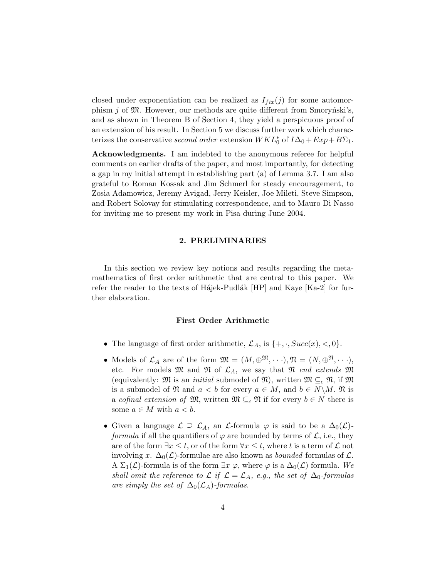closed under exponentiation can be realized as  $I_{fix}(j)$  for some automorphism j of  $\mathfrak{M}$ . However, our methods are quite different from Smorynski's, and as shown in Theorem B of Section 4, they yield a perspicuous proof of an extension of his result. In Section 5 we discuss further work which characterizes the conservative second order extension  $WKL_0^*$  of  $I\Delta_0 + Exp + B\Sigma_1$ .

Acknowledgments. I am indebted to the anonymous referee for helpful comments on earlier drafts of the paper, and most importantly, for detecting a gap in my initial attempt in establishing part (a) of Lemma 3.7. I am also grateful to Roman Kossak and Jim Schmerl for steady encouragement, to Zosia Adamowicz, Jeremy Avigad, Jerry Keisler, Joe Mileti, Steve Simpson, and Robert Solovay for stimulating correspondence, and to Mauro Di Nasso for inviting me to present my work in Pisa during June 2004.

### 2. PRELIMINARIES

In this section we review key notions and results regarding the metamathematics of first order arithmetic that are central to this paper. We refer the reader to the texts of H $\acute{a}$ jek-Pudl $\acute{a}$ k [HP] and Kaye [Ka-2] for further elaboration.

## First Order Arithmetic

- The language of first order arithmetic,  $\mathcal{L}_A$ , is  $\{+, \cdot, Succ(x), <, 0\}.$
- Models of  $\mathcal{L}_A$  are of the form  $\mathfrak{M} = (M, \oplus^{\mathfrak{M}}, \cdots), \mathfrak{N} = (N, \oplus^{\mathfrak{N}}, \cdots),$ etc. For models  $\mathfrak{M}$  and  $\mathfrak{N}$  of  $\mathcal{L}_A$ , we say that  $\mathfrak{N}$  end extends  $\mathfrak{M}$ (equivalently:  $\mathfrak{M}$  is an *initial* submodel of  $\mathfrak{N}$ ), written  $\mathfrak{M} \subseteq_e \mathfrak{N}$ , if  $\mathfrak{M}$ is a submodel of  $\mathfrak{N}$  and  $a < b$  for every  $a \in M$ , and  $b \in N \backslash M$ .  $\mathfrak{N}$  is a cofinal extension of  $\mathfrak{M}$ , written  $\mathfrak{M} \subseteq_c \mathfrak{N}$  if for every  $b \in N$  there is some  $a \in M$  with  $a < b$ .
- Given a language  $\mathcal{L} \supseteq \mathcal{L}_A$ , an  $\mathcal{L}$ -formula  $\varphi$  is said to be a  $\Delta_0(\mathcal{L})$ *formula* if all the quantifiers of  $\varphi$  are bounded by terms of  $\mathcal{L}$ , i.e., they are of the form  $\exists x \leq t$ , or of the form  $\forall x \leq t$ , where t is a term of  $\mathcal L$  not involving x.  $\Delta_0(\mathcal{L})$ -formulae are also known as *bounded* formulas of  $\mathcal{L}$ . A  $\Sigma_1(\mathcal{L})$ -formula is of the form  $\exists x \varphi$ , where  $\varphi$  is a  $\Delta_0(\mathcal{L})$  formula. We shall omit the reference to  $\mathcal L$  if  $\mathcal L = \mathcal L_A$ , e.g., the set of  $\Delta_0$ -formulas are simply the set of  $\Delta_0(\mathcal{L}_A)$ -formulas.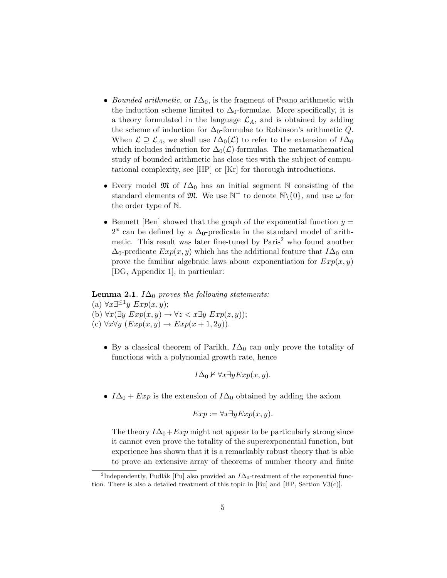- Bounded arithmetic, or  $I\Delta_0$ , is the fragment of Peano arithmetic with the induction scheme limited to  $\Delta_0$ -formulae. More specifically, it is a theory formulated in the language  $\mathcal{L}_A$ , and is obtained by adding the scheme of induction for  $\Delta_0$ -formulae to Robinson's arithmetic Q. When  $\mathcal{L} \supseteq \mathcal{L}_A$ , we shall use  $I\Delta_0(\mathcal{L})$  to refer to the extension of  $I\Delta_0$ which includes induction for  $\Delta_0(\mathcal{L})$ -formulas. The metamathematical study of bounded arithmetic has close ties with the subject of computational complexity, see [HP] or [Kr] for thorough introductions.
- Every model  $\mathfrak{M}$  of  $I\Delta_0$  has an initial segment N consisting of the standard elements of  $\mathfrak{M}$ . We use  $\mathbb{N}^+$  to denote  $\mathbb{N}\setminus\{0\}$ , and use  $\omega$  for the order type of N.
- Bennett [Ben] showed that the graph of the exponential function  $y =$  $2<sup>x</sup>$  can be defined by a  $\Delta_0$ -predicate in the standard model of arithmetic. This result was later fine-tuned by  $Paris<sup>2</sup>$  who found another  $\Delta_0$ -predicate  $Exp(x, y)$  which has the additional feature that  $I\Delta_0$  can prove the familiar algebraic laws about exponentiation for  $Exp(x, y)$ [DG, Appendix 1], in particular:

## **Lemma 2.1**.  $I\Delta_0$  proves the following statements:

(a) ∀x∃<sup>≤1</sup>y  $Exp(x, y)$ ; (b)  $\forall x (\exists y \; Exp(x, y) \rightarrow \forall z < x \exists y \; Exp(z, y));$ (c)  $\forall x \forall y \ (Exp(x, y) \rightarrow Exp(x + 1, 2y)).$ 

• By a classical theorem of Parikh,  $I\Delta_0$  can only prove the totality of functions with a polynomial growth rate, hence

$$
I\Delta_0 \nvdash \forall x \exists y Exp(x, y).
$$

•  $I\Delta_0 + Exp$  is the extension of  $I\Delta_0$  obtained by adding the axiom

$$
Exp := \forall x \exists y Exp(x, y).
$$

The theory  $I\Delta_0+Exp$  might not appear to be particularly strong since it cannot even prove the totality of the superexponential function, but experience has shown that it is a remarkably robust theory that is able to prove an extensive array of theorems of number theory and finite

<sup>&</sup>lt;sup>2</sup>Independently, Pudlák [Pu] also provided an  $I\Delta_0$ -treatment of the exponential function. There is also a detailed treatment of this topic in [Bu] and [HP, Section V3(c)].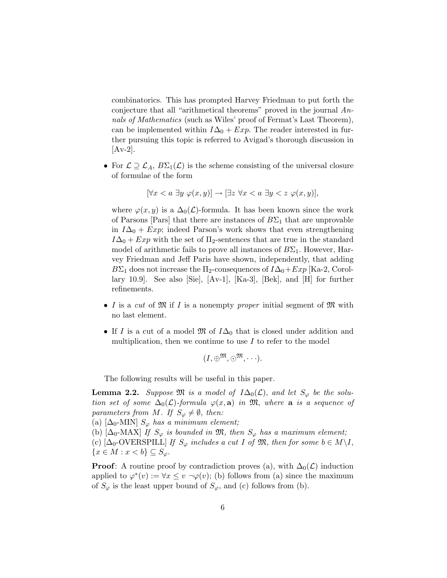combinatorics. This has prompted Harvey Friedman to put forth the conjecture that all "arithmetical theorems" proved in the journal Annals of Mathematics (such as Wiles' proof of Fermat's Last Theorem), can be implemented within  $I\Delta_0 + Exp$ . The reader interested in further pursuing this topic is referred to Avigad's thorough discussion in  $[Av-2]$ .

• For  $\mathcal{L} \supseteq \mathcal{L}_A$ ,  $B\Sigma_1(\mathcal{L})$  is the scheme consisting of the universal closure of formulae of the form

$$
[\forall x < a \; \exists y \; \varphi(x, y)] \to [\exists z \; \forall x < a \; \exists y < z \; \varphi(x, y)],
$$

where  $\varphi(x, y)$  is a  $\Delta_0(\mathcal{L})$ -formula. It has been known since the work of Parsons [Pars] that there are instances of  $B\Sigma_1$  that are unprovable in  $I\Delta_0 + Exp$ ; indeed Parson's work shows that even strengthening  $I\Delta_0 + Exp$  with the set of  $\Pi_2$ -sentences that are true in the standard model of arithmetic fails to prove all instances of  $B\Sigma_1$ . However, Harvey Friedman and Jeff Paris have shown, independently, that adding  $B\Sigma_1$  does not increase the  $\Pi_2$ -consequences of  $I\Delta_0+Exp$  [Ka-2, Corollary 10.9]. See also [Sie], [Av-1], [Ka-3], [Bek], and [H] for further refinements.

- I is a cut of  $\mathfrak{M}$  if I is a nonempty proper initial segment of  $\mathfrak{M}$  with no last element.
- If I is a cut of a model  $\mathfrak{M}$  of  $I\Delta_0$  that is closed under addition and multiplication, then we continue to use  $I$  to refer to the model

$$
(I,\oplus^{\mathfrak{M}},\odot^{\mathfrak{M}},\cdots).
$$

The following results will be useful in this paper.

**Lemma 2.2.** Suppose  $\mathfrak{M}$  is a model of  $I\Delta_0(\mathcal{L})$ , and let  $S_{\varphi}$  be the solution set of some  $\Delta_0(\mathcal{L})$ -formula  $\varphi(x, \mathbf{a})$  in  $\mathfrak{M}$ , where  $\mathbf{a}$  is a sequence of parameters from M. If  $S_{\varphi} \neq \emptyset$ , then:

(a)  $[\Delta_0$ -MIN]  $S_{\varphi}$  has a minimum element;

(b)  $[\Delta_0$ -MAX] If  $S_{\varphi}$  is bounded in  $\mathfrak{M}$ , then  $S_{\varphi}$  has a maximum element; (c)  $[\Delta_0$ -OVERSPILL] If  $S_{\varphi}$  includes a cut I of  $\mathfrak{M}$ , then for some  $b \in M \backslash I$ ,  ${x \in M : x < b} \subseteq S_{\varphi}.$ 

**Proof:** A routine proof by contradiction proves (a), with  $\Delta_0(\mathcal{L})$  induction applied to  $\varphi^*(v) := \forall x \leq v \ \neg \varphi(v)$ ; (b) follows from (a) since the maximum of  $S_{\varphi}$  is the least upper bound of  $S_{\varphi}$ , and (c) follows from (b).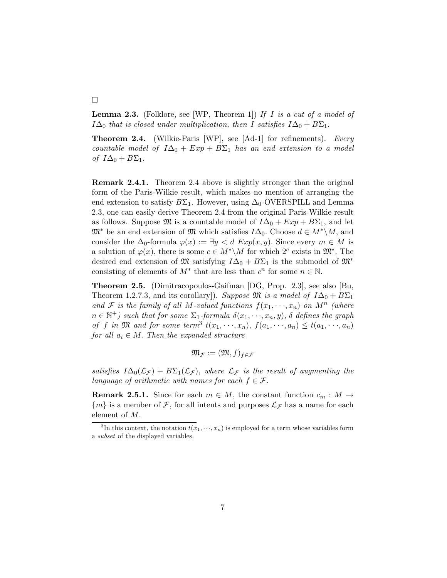**Lemma 2.3.** (Folklore, see [WP, Theorem 1]) If I is a cut of a model of  $I\Delta_0$  that is closed under multiplication, then I satisfies  $I\Delta_0 + B\Sigma_1$ .

**Theorem 2.4.** (Wilkie-Paris [WP], see  $[Ad-1]$  for refinements). Every countable model of  $I\Delta_0 + Exp + B\Sigma_1$  has an end extension to a model of  $I\Delta_0 + B\Sigma_1$ .

Remark 2.4.1. Theorem 2.4 above is slightly stronger than the original form of the Paris-Wilkie result, which makes no mention of arranging the end extension to satisfy  $B\Sigma_1$ . However, using  $\Delta_0$ -OVERSPILL and Lemma 2.3, one can easily derive Theorem 2.4 from the original Paris-Wilkie result as follows. Suppose  $\mathfrak{M}$  is a countable model of  $I\Delta_0 + Exp + B\Sigma_1$ , and let  $\mathfrak{M}^*$  be an end extension of  $\mathfrak{M}$  which satisfies  $I\Delta_0$ . Choose  $d \in M^*\backslash M$ , and consider the  $\Delta_0$ -formula  $\varphi(x) := \exists y \langle d \, Exp(x, y) \rangle$ . Since every  $m \in M$  is a solution of  $\varphi(x)$ , there is some  $c \in M^* \backslash M$  for which  $2^c$  exists in  $\mathfrak{M}^*$ . The desired end extension of M satisfying  $I\Delta_0 + B\Sigma_1$  is the submodel of  $\mathfrak{M}^*$ consisting of elements of  $M^*$  that are less than  $c^n$  for some  $n \in \mathbb{N}$ .

Theorem 2.5. (Dimitracopoulos-Gaifman [DG, Prop. 2.3], see also [Bu, Theorem 1.2.7.3, and its corollary]). Suppose  $\mathfrak{M}$  is a model of  $I\Delta_0 + B\Sigma_1$ and F is the family of all M-valued functions  $f(x_1, \dots, x_n)$  on  $M^n$  (where  $n \in \mathbb{N}^+$ ) such that for some  $\Sigma_1$ -formula  $\delta(x_1, \dots, x_n, y)$ ,  $\delta$  defines the graph of f in  $\mathfrak M$  and for some term<sup>3</sup>  $t(x_1, \dots, x_n)$ ,  $f(a_1, \dots, a_n) \leq t(a_1, \dots, a_n)$ for all  $a_i \in M$ . Then the expanded structure

$$
\mathfrak{M}_{\mathcal{F}}:=(\mathfrak{M},f)_{f\in\mathcal{F}}
$$

satisfies  $I\Delta_0(\mathcal{L}_{\mathcal{F}})+B\Sigma_1(\mathcal{L}_{\mathcal{F}})$ , where  $\mathcal{L}_{\mathcal{F}}$  is the result of augmenting the language of arithmetic with names for each  $f \in \mathcal{F}$ .

**Remark 2.5.1.** Since for each  $m \in M$ , the constant function  $c_m : M \to$  ${m}$  is a member of F, for all intents and purposes  $\mathcal{L}_{\mathcal{F}}$  has a name for each element of M.

## ¤

<sup>&</sup>lt;sup>3</sup>In this context, the notation  $t(x_1, \dots, x_n)$  is employed for a term whose variables form a subset of the displayed variables.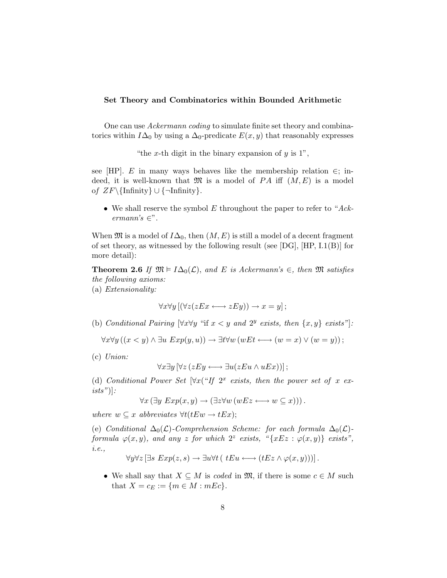### Set Theory and Combinatorics within Bounded Arithmetic

One can use Ackermann coding to simulate finite set theory and combinatorics within  $I\Delta_0$  by using a  $\Delta_0$ -predicate  $E(x, y)$  that reasonably expresses

"the x-th digit in the binary expansion of  $y$  is 1",

see [HP]. E in many ways behaves like the membership relation  $\in$ ; indeed, it is well-known that  $\mathfrak{M}$  is a model of PA iff  $(M, E)$  is a model of  $ZF\{\text{Infinity}\}\cup{\text{Infinity}}$ .

• We shall reserve the symbol  $E$  throughout the paper to refer to "Ackermann's  $\in$ ".

When  $\mathfrak{M}$  is a model of  $I\Delta_0$ , then  $(M, E)$  is still a model of a decent fragment of set theory, as witnessed by the following result (see  $[DG]$ ,  $[HP, I.1(B)]$  for more detail):

**Theorem 2.6** If  $\mathfrak{M} \models I\Delta_0(\mathcal{L})$ , and E is Ackermann's  $\in$ , then  $\mathfrak{M}$  satisfies the following axioms:

(a) Extensionality:

$$
\forall x \forall y [(\forall z (zEx \longleftrightarrow zEy)) \rightarrow x=y];
$$

(b) Conditional Pairing  $[\forall x \forall y$  "if  $x < y$  and  $2^y$  exists, then  $\{x, y\}$  exists"]:

 $\forall x \forall y ((x < y) \land \exists u Exp(y, u)) \rightarrow \exists t \forall w (wEt \longleftrightarrow (w = x) \lor (w = y));$ 

(c) Union:

$$
\forall x \exists y \left[ \forall z (z E y \longleftrightarrow \exists u (z E u \land u E x)) \right];
$$

(d) Conditional Power Set  $\forall x$  ("If  $2^x$  exists, then the power set of x ex $ists")$ :

$$
\forall x (\exists y \; Exp(x, y) \rightarrow (\exists z \forall w (wEz \longleftrightarrow w \subseteq x))) .
$$

where  $w \subseteq x$  abbreviates  $\forall t (tEw \rightarrow tEx);$ 

(e) Conditional  $\Delta_0(\mathcal{L})$ -Comprehension Scheme: for each formula  $\Delta_0(\mathcal{L})$ formula  $\varphi(x, y)$ , and any z for which  $2^z$  exists, "{xEz :  $\varphi(x, y)$ } exists", i.e.,

$$
\forall y \forall z \left[ \exists s \ Exp(z, s) \rightarrow \exists u \forall t \left( t E u \longleftrightarrow (t E z \land \varphi(x, y)) \right) \right].
$$

• We shall say that  $X \subseteq M$  is coded in  $\mathfrak{M}$ , if there is some  $c \in M$  such that  $X = c_E := \{m \in M : mEc\}.$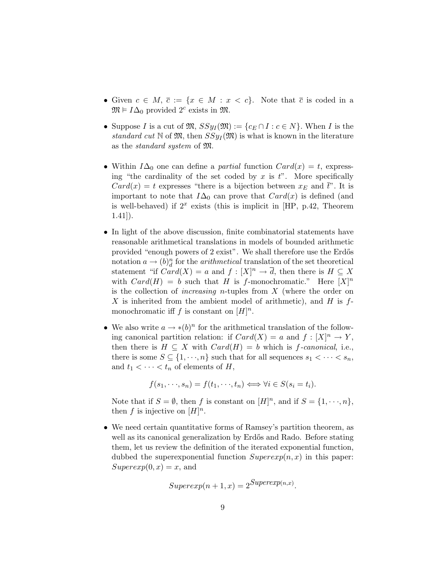- Given  $c \in M$ ,  $\overline{c} := \{x \in M : x < c\}$ . Note that  $\overline{c}$  is coded in a  $\mathfrak{M} \models I\Delta_0$  provided  $2^c$  exists in  $\mathfrak{M}$ .
- Suppose I is a cut of  $\mathfrak{M}, S\mathfrak{H}_I(\mathfrak{M}) := \{c_E \cap I : c \in N\}$ . When I is the standard cut N of  $\mathfrak{M}$ , then  $SSyI(\mathfrak{M})$  is what is known in the literature as the standard system of M.
- Within  $I\Delta_0$  one can define a *partial* function  $Card(x) = t$ , expressing "the cardinality of the set coded by  $x$  is  $t$ ". More specifically  $Card(x) = t$  expresses "there is a bijection between  $x_E$  and  $\bar{t}$ ". It is important to note that  $I\Delta_0$  can prove that  $Card(x)$  is defined (and is well-behaved) if  $2^x$  exists (this is implicit in [HP, p.42, Theorem 1.41]).
- In light of the above discussion, finite combinatorial statements have reasonable arithmetical translations in models of bounded arithmetic provided "enough powers of 2 exist". We shall therefore use the Erdős notation  $a \to (b)^n_d$  for the *arithmetical* translation of the set theoretical statement "if  $Card(X) = a$  and  $f: [X]^n \to \overline{d}$ , then there is  $H \subseteq X$ with  $Card(H) = b$  such that H is f-monochromatic." Here  $[X]^n$ is the collection of *increasing n*-tuples from  $X$  (where the order on X is inherited from the ambient model of arithmetic), and  $H$  is  $f$ monochromatic iff f is constant on  $[H]^{n}$ .
- We also write  $a \to \ast(b)^n$  for the arithmetical translation of the following canonical partition relation: if  $Card(X) = a$  and  $f : [X]^n \to Y$ , then there is  $H \subseteq X$  with  $Card(H) = b$  which is f-canonical, i.e., there is some  $S \subseteq \{1, \dots, n\}$  such that for all sequences  $s_1 < \dots < s_n$ , and  $t_1 < \cdots < t_n$  of elements of H,

$$
f(s_1, \dots, s_n) = f(t_1, \dots, t_n) \iff \forall i \in S(s_i = t_i).
$$

Note that if  $S = \emptyset$ , then f is constant on  $[H]^n$ , and if  $S = \{1, \dots, n\}$ , then f is injective on  $[H]^n$ .

• We need certain quantitative forms of Ramsey's partition theorem, as well as its canonical generalization by Erdős and Rado. Before stating them, let us review the definition of the iterated exponential function, dubbed the superexponential function  $Superexp(n, x)$  in this paper:  $Superexp(0, x) = x$ , and

$$
Superexp(n+1, x) = 2^{Superexp(n,x)}.
$$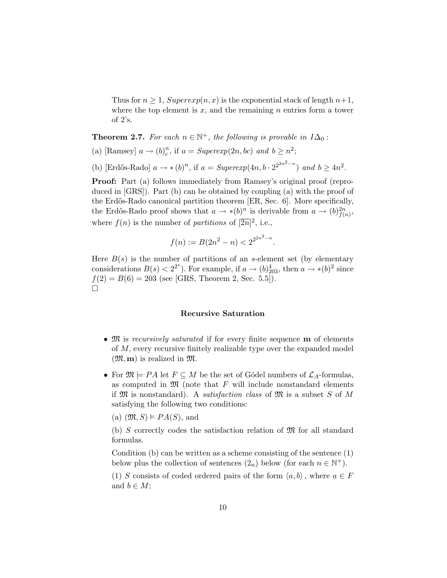Thus for  $n \geq 1$ ,  $Superexp(n, x)$  is the exponential stack of length  $n+1$ , where the top element is  $x$ , and the remaining  $n$  entries form a tower of 2's.

**Theorem 2.7.** For each  $n \in \mathbb{N}^+$ , the following is provable in  $I\Delta_0$ :

(a) [Ramsey]  $a \rightarrow (b)_c^n$  $c^n$ , if  $a = Superexp(2n, bc)$  and  $b \geq n^2$ ;

(b) [Erdős-Rado]  $a \to * (b)^n$ , if  $a = Superexp(4n, b \cdot 2^{2^{2n^2-n}})$  and  $b \ge 4n^2$ .

Proof: Part (a) follows immediately from Ramsey's original proof (reproduced in [GRS]). Part (b) can be obtained by coupling (a) with the proof of the Erdős-Rado canonical partition theorem [ER, Sec. 6]. More specifically, the Erdős-Rado proof shows that  $a \to \ast(b)^n$  is derivable from  $a \to (b)_{f(n)}^{2n}$ , where  $f(n)$  is the number of partitions of  $\sqrt{2n}$ , i.e.,

$$
f(n) := B(2n^2 - n) < 2^{2^{2n^2 - n}}
$$

.

Here  $B(s)$  is the number of partitions of an s-element set (by elementary considerations  $B(s) < 2^{2^s}$ ). For example, if  $a \to (b)_{203}^4$ , then  $a \to *(b)^2$  since  $f(2) = B(6) = 203$  (see [GRS, Theorem 2, Sec. 5.5]).  $\Box$ 

#### Recursive Saturation

- M is recursively saturated if for every finite sequence **m** of elements of M, every recursive finitely realizable type over the expanded model  $(\mathfrak{M}, \mathbf{m})$  is realized in  $\mathfrak{M}$ .
- For  $\mathfrak{M} \models PA$  let  $F \subseteq M$  be the set of Gödel numbers of  $\mathcal{L}_A$ -formulas, as computed in  $\mathfrak{M}$  (note that F will include nonstandard elements if  $\mathfrak{M}$  is nonstandard). A *satisfaction class* of  $\mathfrak{M}$  is a subset S of M satisfying the following two conditions:

(a)  $(\mathfrak{M}, S) \models PA(S)$ , and

(b) S correctly codes the satisfaction relation of  $\mathfrak{M}$  for all standard formulas.

Condition (b) can be written as a scheme consisting of the sentence (1) below plus the collection of sentences  $(2_n)$  below (for each  $n \in \mathbb{N}^+$ ).

(1) S consists of coded ordered pairs of the form  $\langle a, b \rangle$ , where  $a \in F$ and  $b \in M$ ;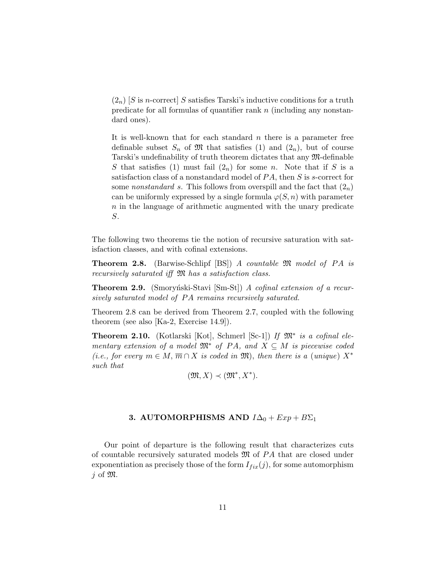$(2_n)$  S is n-correct S satisfies Tarski's inductive conditions for a truth predicate for all formulas of quantifier rank  $n$  (including any nonstandard ones).

It is well-known that for each standard  $n$  there is a parameter free definable subset  $S_n$  of  $\mathfrak M$  that satisfies (1) and  $(2_n)$ , but of course Tarski's undefinability of truth theorem dictates that any M-definable S that satisfies (1) must fail  $(2_n)$  for some n. Note that if S is a satisfaction class of a nonstandard model of  $PA$ , then  $S$  is s-correct for some nonstandard s. This follows from overspill and the fact that  $(2_n)$ can be uniformly expressed by a single formula  $\varphi(S, n)$  with parameter  $n$  in the language of arithmetic augmented with the unary predicate S.

The following two theorems tie the notion of recursive saturation with satisfaction classes, and with cofinal extensions.

**Theorem 2.8.** (Barwise-Schlipf [BS]) A countable  $\mathfrak{M}$  model of PA is recursively saturated iff  $\mathfrak{M}$  has a satisfaction class.

**Theorem 2.9.** (Smoryński-Stavi [Sm-St]) A cofinal extension of a recursively saturated model of PA remains recursively saturated.

Theorem 2.8 can be derived from Theorem 2.7, coupled with the following theorem (see also [Ka-2, Exercise 14.9]).

Theorem 2.10. (Kotlarski [Kot], Schmerl [Sc-1]) If  $\mathfrak{M}^*$  is a cofinal elementary extension of a model  $\mathfrak{M}^*$  of PA, and  $X \subseteq M$  is piecewise coded (i.e., for every  $m \in M$ ,  $\overline{m} \cap X$  is coded in  $\mathfrak{M}$ ), then there is a (unique)  $X^*$ such that

$$
(\mathfrak{M}, X) \prec (\mathfrak{M}^*, X^*).
$$

### 3. AUTOMORPHISMS AND  $I\Delta_0 + Exp + B\Sigma_1$

Our point of departure is the following result that characterizes cuts of countable recursively saturated models  $\mathfrak{M}$  of PA that are closed under exponentiation as precisely those of the form  $I_{fix}(j)$ , for some automorphism  $i$  of  $\mathfrak{M}$ .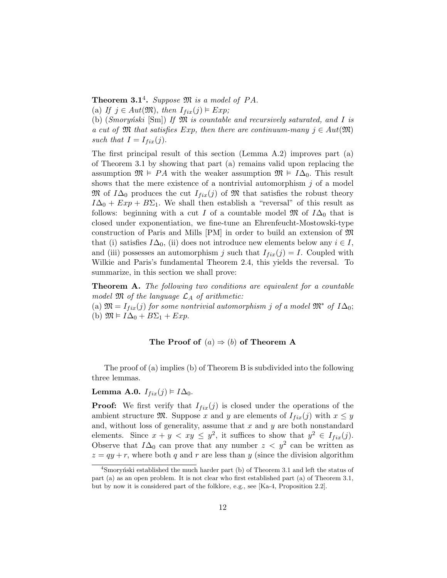**Theorem 3.1<sup>4</sup>.** Suppose  $\mathfrak{M}$  is a model of PA. (a) If  $j \in Aut(\mathfrak{M})$ , then  $I_{fix}(j) \models Exp;$ 

(b)  $(Smoryński [Sm]) If M is countable and recursively saturated, and I is$ a cut of  $\mathfrak{M}$  that satisfies Exp, then there are continuum-many  $j \in Aut(\mathfrak{M})$ 

such that  $I = I_{fix}(j)$ .

The first principal result of this section (Lemma A.2) improves part (a) of Theorem 3.1 by showing that part (a) remains valid upon replacing the assumption  $\mathfrak{M} \models PA$  with the weaker assumption  $\mathfrak{M} \models I\Delta_0$ . This result shows that the mere existence of a nontrivial automorphism  $j$  of a model M of  $I\Delta_0$  produces the cut  $I_{fix}(j)$  of M that satisfies the robust theory  $I\Delta_0 + Exp + B\Sigma_1$ . We shall then establish a "reversal" of this result as follows: beginning with a cut I of a countable model  $\mathfrak{M}$  of  $I\Delta_0$  that is closed under exponentiation, we fine-tune an Ehrenfeucht-Mostowski-type construction of Paris and Mills  $[PM]$  in order to build an extension of  $\mathfrak{M}$ that (i) satisfies  $I\Delta_0$ , (ii) does not introduce new elements below any  $i \in I$ , and (iii) possesses an automorphism j such that  $I_{fix}(j) = I$ . Coupled with Wilkie and Paris's fundamental Theorem 2.4, this yields the reversal. To summarize, in this section we shall prove:

**Theorem A.** The following two conditions are equivalent for a countable model  $\mathfrak M$  of the language  $\mathcal L_A$  of arithmetic:

(a)  $\mathfrak{M} = I_{fix}(j)$  for some nontrivial automorphism j of a model  $\mathfrak{M}^*$  of  $I\Delta_0$ ; (b)  $\mathfrak{M} \models I\Delta_0 + B\Sigma_1 + Exp.$ 

## The Proof of  $(a) \Rightarrow (b)$  of Theorem A

The proof of (a) implies (b) of Theorem B is subdivided into the following three lemmas.

# Lemma A.0.  $I_{fix}(j) \models I\Delta_0$ .

**Proof:** We first verify that  $I_{fix}(j)$  is closed under the operations of the ambient structure  $\mathfrak{M}$ . Suppose x and y are elements of  $I_{fix}(j)$  with  $x \leq y$ and, without loss of generality, assume that  $x$  and  $y$  are both nonstandard elements. Since  $x + y < xy \leq y^2$ , it suffices to show that  $y^2 \in I_{fix}(j)$ . Observe that  $I\Delta_0$  can prove that any number  $z < y^2$  can be written as  $z = qy + r$ , where both q and r are less than y (since the division algorithm

 $4$ Smoryński established the much harder part (b) of Theorem 3.1 and left the status of part (a) as an open problem. It is not clear who first established part (a) of Theorem 3.1, but by now it is considered part of the folklore, e.g., see [Ka-4, Proposition 2.2].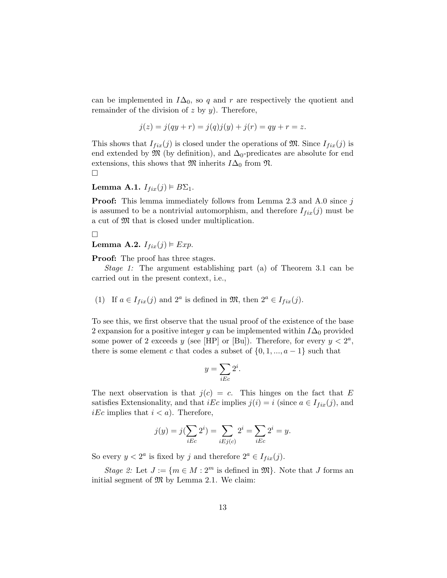can be implemented in  $I\Delta_0$ , so q and r are respectively the quotient and remainder of the division of  $z$  by  $y$ ). Therefore,

$$
j(z) = j(qy + r) = j(q)j(y) + j(r) = qy + r = z.
$$

This shows that  $I_{fix}(j)$  is closed under the operations of M. Since  $I_{fix}(j)$  is end extended by  $\mathfrak{M}$  (by definition), and  $\Delta_0$ -predicates are absolute for end extensions, this shows that  $\mathfrak{M}$  inherits  $I\Delta_0$  from  $\mathfrak{N}$ .  $\Box$ 

# Lemma A.1.  $I_{fix}(j) \models B\Sigma_1$ .

**Proof:** This lemma immediately follows from Lemma 2.3 and A.0 since  $j$ is assumed to be a nontrivial automorphism, and therefore  $I_{fix}(j)$  must be a cut of  $\mathfrak M$  that is closed under multiplication.

 $\Box$ 

## Lemma A.2.  $I_{fix}(j) \models Exp$ .

**Proof:** The proof has three stages.

Stage 1: The argument establishing part (a) of Theorem 3.1 can be carried out in the present context, i.e.,

(1) If 
$$
a \in I_{fix}(j)
$$
 and  $2^a$  is defined in  $\mathfrak{M}$ , then  $2^a \in I_{fix}(j)$ .

To see this, we first observe that the usual proof of the existence of the base 2 expansion for a positive integer y can be implemented within  $I\Delta_0$  provided some power of 2 exceeds y (see [HP] or [Bu]). Therefore, for every  $y < 2<sup>a</sup>$ , there is some element c that codes a subset of  $\{0, 1, ..., a-1\}$  such that

$$
y = \sum_{i \to c} 2^i.
$$

The next observation is that  $j(c) = c$ . This hinges on the fact that E satisfies Extensionality, and that *iEc* implies  $j(i) = i$  (since  $a \in I_{fix}(j)$ , and *iEc* implies that  $i < a$ ). Therefore,

$$
j(y) = j(\sum_{i \to c} 2^{i}) = \sum_{i \to j(c)} 2^{i} = \sum_{i \to c} 2^{i} = y.
$$

So every  $y < 2^a$  is fixed by j and therefore  $2^a \in I_{fix}(j)$ .

Stage 2: Let  $J := \{m \in M : 2^m \text{ is defined in } \mathfrak{M}\}\.$  Note that J forms an initial segment of  $\mathfrak{M}$  by Lemma 2.1. We claim: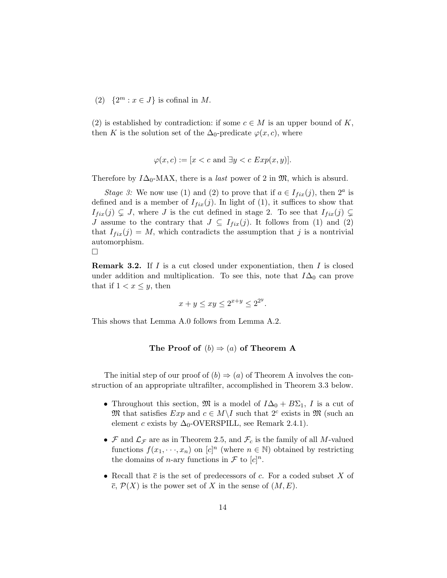(2)  $\{2^m : x \in J\}$  is cofinal in M.

(2) is established by contradiction: if some  $c \in M$  is an upper bound of K, then K is the solution set of the  $\Delta_0$ -predicate  $\varphi(x, c)$ , where

$$
\varphi(x, c) := [x < c \text{ and } \exists y < c \; Exp(x, y)].
$$

Therefore by  $I\Delta_0$ -MAX, there is a *last* power of 2 in  $\mathfrak{M}$ , which is absurd.

Stage 3: We now use (1) and (2) to prove that if  $a \in I_{fix}(j)$ , then  $2^a$  is defined and is a member of  $I_{fix}(j)$ . In light of (1), it suffices to show that  $I_{fix}(j) \subsetneq J$ , where J is the cut defined in stage 2. To see that  $I_{fix}(j) \subsetneq$ J assume to the contrary that  $J \subseteq I_{fix}(j)$ . It follows from (1) and (2) that  $I_{fix}(j) = M$ , which contradicts the assumption that j is a nontrivial automorphism. ¤

**Remark 3.2.** If *I* is a cut closed under exponentiation, then *I* is closed under addition and multiplication. To see this, note that 
$$
I\Delta_0
$$
 can prove that if  $1 < x \leq y$ , then

$$
x + y \le xy \le 2^{x+y} \le 2^{2^y}.
$$

This shows that Lemma A.0 follows from Lemma A.2.

The Proof of 
$$
(b) \Rightarrow (a)
$$
 of Theorem A

The initial step of our proof of  $(b) \Rightarrow (a)$  of Theorem A involves the construction of an appropriate ultrafilter, accomplished in Theorem 3.3 below.

- Throughout this section,  $\mathfrak{M}$  is a model of  $I\Delta_0 + B\Sigma_1$ , I is a cut of M that satisfies  $Exp$  and  $c \in M \backslash I$  such that  $2^c$  exists in M (such an element c exists by  $\Delta_0$ -OVERSPILL, see Remark 2.4.1).
- $\mathcal F$  and  $\mathcal L_{\mathcal F}$  are as in Theorem 2.5, and  $\mathcal F_c$  is the family of all M-valued functions  $f(x_1, \dots, x_n)$  on  $[c]^n$  (where  $n \in \mathbb{N}$ ) obtained by restricting the domains of *n*-ary functions in  $\mathcal F$  to  $[c]^n$ .
- Recall that  $\bar{c}$  is the set of predecessors of c. For a coded subset X of  $\overline{c}$ ,  $\mathcal{P}(X)$  is the power set of X in the sense of  $(M, E)$ .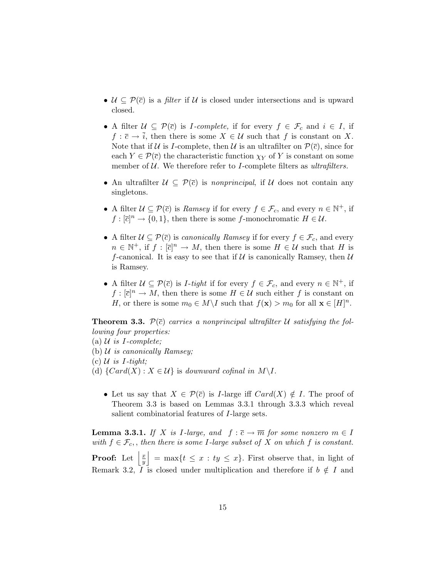- $\mathcal{U} \subseteq \mathcal{P}(\overline{c})$  is a *filter* if  $\mathcal{U}$  is closed under intersections and is upward closed.
- A filter  $\mathcal{U} \subseteq \mathcal{P}(\overline{c})$  is *I-complete*, if for every  $f \in \mathcal{F}_c$  and  $i \in I$ , if  $f : \overline{c} \to \overline{i}$ , then there is some  $X \in \mathcal{U}$  such that f is constant on X. Note that if U is I-complete, then U is an ultrafilter on  $\mathcal{P}(\bar{c})$ , since for each  $Y \in \mathcal{P}(\bar{c})$  the characteristic function  $\chi_Y$  of Y is constant on some member of  $U$ . We therefore refer to I-complete filters as ultrafilters.
- An ultrafilter  $\mathcal{U} \subseteq \mathcal{P}(\overline{c})$  is *nonprincipal*, if  $\mathcal{U}$  does not contain any singletons.
- A filter  $\mathcal{U} \subseteq \mathcal{P}(\overline{c})$  is *Ramsey* if for every  $f \in \mathcal{F}_c$ , and every  $n \in \mathbb{N}^+$ , if  $f : [\overline{c}]^n \to \{0, 1\}$ , then there is some f-monochromatic  $H \in \mathcal{U}$ .
- A filter  $\mathcal{U} \subseteq \mathcal{P}(\bar{c})$  is *canonically Ramsey* if for every  $f \in \mathcal{F}_c$ , and every  $n \in \mathbb{N}^+$ , if  $f : [\overline{c}]^n \to M$ , then there is some  $H \in \mathcal{U}$  such that H is f-canonical. It is easy to see that if  $\mathcal U$  is canonically Ramsey, then  $\mathcal U$ is Ramsey.
- A filter  $\mathcal{U} \subseteq \mathcal{P}(\bar{c})$  is *I-tight* if for every  $f \in \mathcal{F}_c$ , and every  $n \in \mathbb{N}^+$ , if  $f: [\overline{c}]^n \to M$ , then there is some  $H \in \mathcal{U}$  such either f is constant on H, or there is some  $m_0 \in M \backslash I$  such that  $f(\mathbf{x}) > m_0$  for all  $\mathbf{x} \in [H]^n$ .

**Theorem 3.3.**  $\mathcal{P}(\bar{c})$  carries a nonprincipal ultrafilter U satisfying the following four properties:

(a)  $\mathcal U$  is I-complete;

- (b)  $U$  is canonically Ramsey;
- (c)  $\mathcal U$  is *I*-tight;
- (d)  $\{Card(X): X \in \mathcal{U}\}\$ is downward cofinal in  $M\backslash I$ .
	- Let us say that  $X \in \mathcal{P}(\bar{c})$  is *I*-large iff  $Card(X) \notin I$ . The proof of Theorem 3.3 is based on Lemmas 3.3.1 through 3.3.3 which reveal salient combinatorial features of I-large sets.

**Lemma 3.3.1.** If X is I-large, and  $f : \overline{c} \to \overline{m}$  for some nonzero  $m \in I$ with  $f \in \mathcal{F}_c$ , then there is some I-large subset of X on which f is constant. k

**Proof:** Let  $\left| \frac{x}{y} \right|$  $\overline{y}$  $=\max\{t \leq x : ty \leq x\}$ . First observe that, in light of Remark 3.2, I is closed under multiplication and therefore if  $b \notin I$  and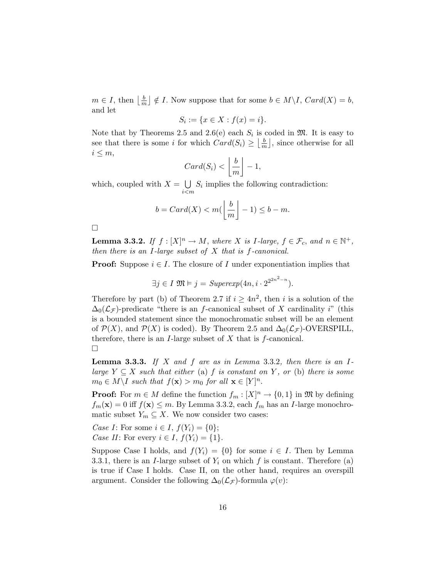$m \in I$ , then  $\left| \frac{b}{m} \right|$  $\overline{m}$ ¦  $\notin I$ . Now suppose that for some  $b \in M \backslash I$ ,  $Card(X) = b$ , and let

$$
S_i := \{ x \in X : f(x) = i \}.
$$

Note that by Theorems 2.5 and 2.6(e) each  $S_i$  is coded in  $\mathfrak{M}$ . It is easy to see that there is some *i* for which  $Card(S_i) \geq \frac{b}{n}$  $\frac{b}{m}$ , since otherwise for all  $i\leq m,$ l. º

$$
Card(S_i) < \left\lfloor \frac{b}{m} \right\rfloor - 1,
$$

which, coupled with  $X =$ i<m  $S_i$  implies the following contradiction:

$$
b = Card(X) < m\left(\left\lfloor \frac{b}{m} \right\rfloor - 1) \leq b - m.
$$

 $\Box$ 

**Lemma 3.3.2.** If  $f : [X]^n \to M$ , where X is I-large,  $f \in \mathcal{F}_c$ , and  $n \in \mathbb{N}^+$ , then there is an I-large subset of  $X$  that is  $f$ -canonical.

**Proof:** Suppose  $i \in I$ . The closure of I under exponentiation implies that

$$
\exists j \in I \ \mathfrak{M} \models j = \text{Superexp}(4n, i \cdot 2^{2^{2n^2 - n}}).
$$

Therefore by part (b) of Theorem 2.7 if  $i \geq 4n^2$ , then i is a solution of the  $\Delta_0(\mathcal{L}_{\mathcal{F}})$ -predicate "there is an f-canonical subset of X cardinality i" (this is a bounded statement since the monochromatic subset will be an element of  $\mathcal{P}(X)$ , and  $\mathcal{P}(X)$  is coded). By Theorem 2.5 and  $\Delta_0(\mathcal{L}_{\mathcal{F}})$ -OVERSPILL, therefore, there is an *I*-large subset of  $X$  that is  $f$ -canonical.  $\Box$ 

**Lemma 3.3.3.** If X and f are as in Lemma 3.3.2, then there is an Ilarge  $Y \subseteq X$  such that either (a) f is constant on Y, or (b) there is some  $m_0 \in M \backslash I$  such that  $f(\mathbf{x}) > m_0$  for all  $\mathbf{x} \in [Y]^n$ .

**Proof:** For  $m \in M$  define the function  $f_m : [X]^n \to \{0, 1\}$  in  $\mathfrak{M}$  by defining  $f_m(\mathbf{x}) = 0$  iff  $f(\mathbf{x}) \le m$ . By Lemma 3.3.2, each  $f_m$  has an *I*-large monochromatic subset  $Y_m \subseteq X$ . We now consider two cases:

Case I: For some  $i \in I$ ,  $f(Y_i) = \{0\};$ Case II: For every  $i \in I$ ,  $f(Y_i) = \{1\}$ .

Suppose Case I holds, and  $f(Y_i) = \{0\}$  for some  $i \in I$ . Then by Lemma 3.3.1, there is an *I*-large subset of  $Y_i$  on which f is constant. Therefore (a) is true if Case I holds. Case II, on the other hand, requires an overspill argument. Consider the following  $\Delta_0(\mathcal{L}_{\mathcal{F}})$ -formula  $\varphi(v)$ :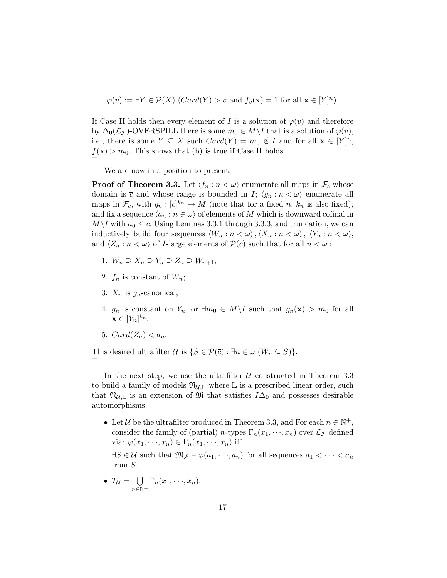$$
\varphi(v) := \exists Y \in \mathcal{P}(X) \ (Card(Y) > v \text{ and } f_v(\mathbf{x}) = 1 \text{ for all } \mathbf{x} \in [Y]^n).
$$

If Case II holds then every element of I is a solution of  $\varphi(v)$  and therefore by  $\Delta_0(\mathcal{L}_{\mathcal{F}})$ -OVERSPILL there is some  $m_0 \in M \backslash I$  that is a solution of  $\varphi(v)$ , i.e., there is some  $Y \subseteq X$  such  $Card(Y) = m_0 \notin I$  and for all  $\mathbf{x} \in [Y]^n$ ,  $f(\mathbf{x}) > m_0$ . This shows that (b) is true if Case II holds. ¤

We are now in a position to present:

**Proof of Theorem 3.3.** Let  $\langle f_n : n < \omega \rangle$  enumerate all maps in  $\mathcal{F}_c$  whose domain is  $\bar{c}$  and whose range is bounded in I;  $\langle g_n : n < \omega \rangle$  enumerate all maps in  $\mathcal{F}_c$ , with  $g_n : [\overline{c}]^{k_n} \to M$  (note that for a fixed n,  $k_n$  is also fixed); and fix a sequence  $\langle a_n : n \in \omega \rangle$  of elements of M which is downward cofinal in  $M\setminus I$  with  $a_0 \leq c$ . Using Lemmas 3.3.1 through 3.3.3, and truncation, we can inductively build four sequences  $\langle W_n : n < \omega \rangle, \langle X_n : n < \omega \rangle, \langle Y_n : n < \omega \rangle$ and  $\langle Z_n : n < \omega \rangle$  of *I*-large elements of  $\mathcal{P}(\overline{c})$  such that for all  $n < \omega$ :

- 1.  $W_n \supseteq X_n \supseteq Y_n \supseteq Z_n \supseteq W_{n+1};$
- 2.  $f_n$  is constant of  $W_n$ ;
- 3.  $X_n$  is  $g_n$ -canonical;
- 4.  $g_n$  is constant on  $Y_n$ , or  $\exists m_0 \in M \setminus I$  such that  $g_n(\mathbf{x}) > m_0$  for all  $\mathbf{x} \in [Y_n]^{k_n};$
- 5.  $Card(Z_n).$

This desired ultrafilter  $\mathcal U$  is  $\{S \in \mathcal P(\bar c): \exists n \in \omega \ (W_n \subseteq S)\}.$ ¤

In the next step, we use the ultrafilter  $U$  constructed in Theorem 3.3 to build a family of models  $\mathfrak{N}_{\mathcal{U}, \mathbb{L}}$  where  $\mathbb{L}$  is a prescribed linear order, such that  $\mathfrak{N}_{\mathcal{U}, \mathbb{L}}$  is an extension of  $\mathfrak{M}$  that satisfies  $I\Delta_0$  and possesses desirable automorphisms.

• Let U be the ultrafilter produced in Theorem 3.3, and For each  $n \in \mathbb{N}^+$ , consider the family of (partial) n-types  $\Gamma_n(x_1,\dots,x_n)$  over  $\mathcal{L}_{\mathcal{F}}$  defined via:  $\varphi(x_1,\dots,x_n) \in \Gamma_n(x_1,\dots,x_n)$  iff

 $\exists S \in \mathcal{U}$  such that  $\mathfrak{M}_{\mathcal{F}} \models \varphi(a_1, \dots, a_n)$  for all sequences  $a_1 < \dots < a_n$ from S.

 $\bullet$   $T_{\mathcal{U}} =$ S  $n \in \mathbb{N}^+$  $\Gamma_n(x_1,\dots,x_n).$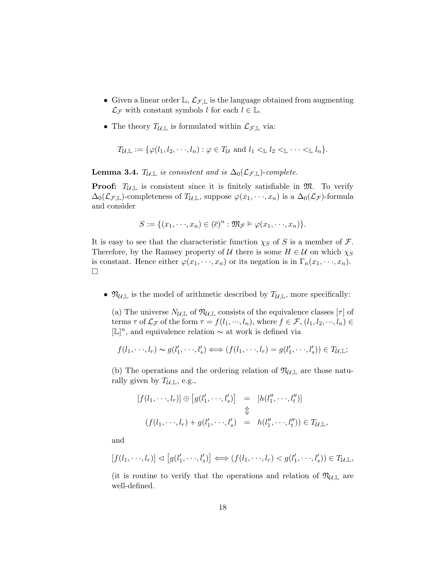- Given a linear order  $\mathbb{L}, \mathcal{L}_{\mathcal{F}, \mathbb{L}}$  is the language obtained from augmenting  $\mathcal{L}_{\mathcal{F}}$  with constant symbols l for each  $l \in \mathbb{L}$ .
- The theory  $T_{\mathcal{U}, \mathbb{L}}$  is formulated within  $\mathcal{L}_{\mathcal{F}, \mathbb{L}}$  via:

$$
T_{\mathcal{U}, \mathbb{L}} := \{ \varphi(l_1, l_2, \cdots, l_n) : \varphi \in T_{\mathcal{U}} \text{ and } l_1 <_{\mathbb{L}} l_2 <_{\mathbb{L}} \cdots <_{\mathbb{L}} l_n \}.
$$

**Lemma 3.4.**  $T_{\mathcal{U}, \mathbb{L}}$  is consistent and is  $\Delta_0(\mathcal{L}_{\mathcal{F}, \mathbb{L}})$ -complete.

**Proof:**  $T_{\mathcal{U}, \mathbb{L}}$  is consistent since it is finitely satisfiable in  $\mathfrak{M}$ . To verify  $\Delta_0(\mathcal{L}_{\mathcal{F},\mathbb{L}})$ -completeness of  $T_{\mathcal{U},\mathbb{L}}$ , suppose  $\varphi(x_1,\dots,x_n)$  is a  $\Delta_0(\mathcal{L}_{\mathcal{F}})$ -formula and consider

$$
S := \{ (x_1, \dots, x_n) \in (\overline{c})^n : \mathfrak{M}_{\mathcal{F}} \models \varphi(x_1, \dots, x_n) \}.
$$

It is easy to see that the characteristic function  $\chi_S$  of S is a member of F. Therefore, by the Ramsey property of U there is some  $H \in U$  on which  $\chi_S$ is constant. Hence either  $\varphi(x_1,\dots,x_n)$  or its negation is in  $\Gamma_n(x_1,\dots,x_n)$ .  $\Box$ 

•  $\mathfrak{N}_{\mathcal{U}, \mathbb{L}}$  is the model of arithmetic described by  $T_{\mathcal{U}, \mathbb{L}}$ , more specifically:

(a) The universe  $N_{\mathcal{U}, \mathbb{L}}$  of  $\mathfrak{N}_{\mathcal{U}, \mathbb{L}}$  consists of the equivalence classes  $[\tau]$  of terms  $\tau$  of  $\mathcal{L}_{\mathcal{F}}$  of the form  $\tau = f(l_1, \dots, l_n)$ , where  $f \in \mathcal{F}, (l_1, l_2, \dots, l_n) \in$ [L] n , and equivalence relation ∼ at work is defined via

$$
f(l_1,\dots,l_r) \sim g(l'_1,\dots,l'_s) \Longleftrightarrow (f(l_1,\dots,l_r) = g(l'_1,\dots,l'_s)) \in T_{\mathcal{U},\mathbb{L}};
$$

(b) The operations and the ordering relation of  $\mathfrak{N}_{\mathcal{U},\mathbb{L}}$  are those naturally given by  $T_{\mathcal{U}, \mathbb{L}}$ , e.g.,

$$
[f(l_1,\dots,l_r)] \oplus [g(l'_1,\dots,l'_s)] = [h(l''_1,\dots,l''_t)]
$$
  

$$
\updownarrow
$$
  

$$
(f(l_1,\dots,l_r) + g(l'_1,\dots,l'_s) = h(l''_1,\dots,l''_t)) \in T_{\mathcal{U},\mathbb{L}},
$$

and

$$
[f(l_1,\dots,l_r)] \lhd [g(l'_1,\dots,l'_s)] \iff (f(l_1,\dots,l_r) < g(l'_1,\dots,l'_s)) \in T_{\mathcal{U},\mathbb{L}},
$$

(it is routine to verify that the operations and relation of  $\mathfrak{N}_{\mathcal{U},\mathbb{L}}$  are well-defined.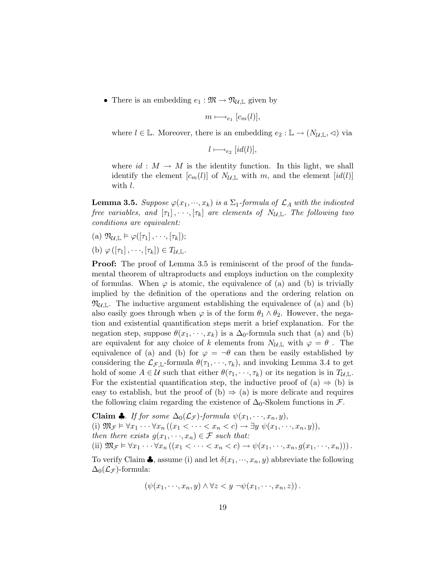• There is an embedding  $e_1 : \mathfrak{M} \to \mathfrak{N}_{\mathcal{U}, \mathbb{L}}$  given by

$$
m \longmapsto_{e_1} [c_m(l)],
$$

where  $l \in \mathbb{L}$ . Moreover, there is an embedding  $e_2 : \mathbb{L} \to (N_{\mathcal{U}, \mathbb{L}}, \triangleleft)$  via

 $l \longmapsto_{e_2} [id(l)],$ 

where  $id : M \to M$  is the identity function. In this light, we shall identify the element  $[c_m(l)]$  of  $N_{\mathcal{U},\mathbb{L}}$  with m, and the element  $(id(l)]$ with  $l$ .

**Lemma 3.5.** Suppose  $\varphi(x_1, \dots, x_k)$  is a  $\Sigma_1$ -formula of  $\mathcal{L}_A$  with the indicated free variables, and  $[\tau_1], \cdots, [\tau_k]$  are elements of  $N_{\mathcal{U}, \mathbb{L}}$ . The following two conditions are equivalent:

- (a)  $\mathfrak{N}_{\mathcal{U}, \mathbb{L}} \models \varphi([\tau_1], \dots, [\tau_k]);$
- (b)  $\varphi([\tau_1], \dots, [\tau_k]) \in T_{\mathcal{U}, \mathbb{L}}$ .

**Proof:** The proof of Lemma 3.5 is reminiscent of the proof of the fundamental theorem of ultraproducts and employs induction on the complexity of formulas. When  $\varphi$  is atomic, the equivalence of (a) and (b) is trivially implied by the definition of the operations and the ordering relation on  $\mathfrak{N}_{U,\mathbb{L}}$ . The inductive argument establishing the equivalence of (a) and (b) also easily goes through when  $\varphi$  is of the form  $\theta_1 \wedge \theta_2$ . However, the negation and existential quantification steps merit a brief explanation. For the negation step, suppose  $\theta(x_1, \dots, x_k)$  is a  $\Delta_0$ -formula such that (a) and (b) are equivalent for any choice of k elements from  $N_{\mathcal{U}, \mathbb{L}}$  with  $\varphi = \theta$ . The equivalence of (a) and (b) for  $\varphi = \neg \theta$  can then be easily established by considering the  $\mathcal{L}_{\mathcal{F},\mathbb{L}}$ -formula  $\theta(\tau_1,\dots,\tau_k)$ , and invoking Lemma 3.4 to get hold of some  $A \in \mathcal{U}$  such that either  $\theta(\tau_1, \dots, \tau_k)$  or its negation is in  $T_{\mathcal{U}, \mathbb{L}}$ . For the existential quantification step, the inductive proof of  $(a) \Rightarrow (b)$  is easy to establish, but the proof of (b)  $\Rightarrow$  (a) is more delicate and requires the following claim regarding the existence of  $\Delta_0$ -Skolem functions in  $\mathcal{F}$ .

**Claim 4.** If for some 
$$
\Delta_0(\mathcal{L}_{\mathcal{F}})
$$
-formula  $\psi(x_1, \dots, x_n, y)$ ,  
(i)  $\mathfrak{M}_{\mathcal{F}} \models \forall x_1 \dots \forall x_n ((x_1 < \dots < x_n < c) \rightarrow \exists y \ \psi(x_1, \dots, x_n, y)),$   
then there exists  $g(x_1, \dots, x_n) \in \mathcal{F}$  such that:  
(ii)  $\mathfrak{M}_{\mathcal{F}} \models \forall x_1 \dots \forall x_n ((x_1 < \dots < x_n < c) \rightarrow \psi(x_1, \dots, x_n, g(x_1, \dots, x_n)))$ .

To verify Claim  $\clubsuit$ , assume (i) and let  $\delta(x_1, \dots, x_n, y)$  abbreviate the following  $\Delta_0(\mathcal{L}_{\mathcal{F}})$ -formula:

$$
(\psi(x_1,\cdot\cdot\cdot,x_n,y)\land\forall z\lt y\lnot\psi(x_1,\cdot\cdot\cdot,x_n,z)).
$$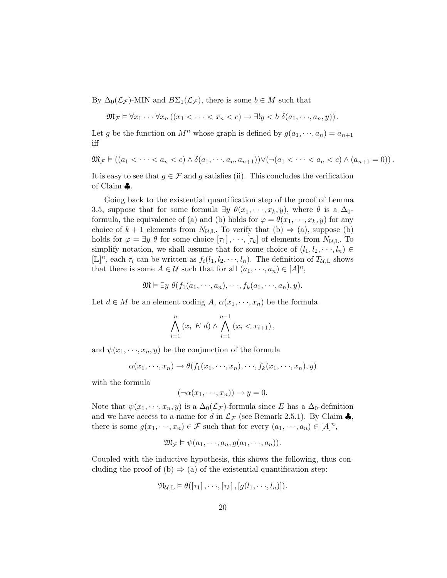By  $\Delta_0(\mathcal{L}_{\mathcal{F}})$ -MIN and  $B\Sigma_1(\mathcal{L}_{\mathcal{F}})$ , there is some  $b \in M$  such that

$$
\mathfrak{M}_{\mathcal{F}} \vDash \forall x_1 \cdots \forall x_n \left( \left( x_1 < \cdots < x_n < c \right) \rightarrow \exists! y < b \; \delta(a_1, \cdots, a_n, y) \right).
$$

Let g be the function on  $M^n$  whose graph is defined by  $g(a_1, \dots, a_n) = a_{n+1}$ iff

$$
\mathfrak{M}_{\mathcal{F}} \models ((a_1 < \cdots < a_n < c) \land \delta(a_1, \cdots, a_n, a_{n+1})) \lor (\neg(a_1 < \cdots < a_n < c) \land (a_{n+1} = 0)).
$$

It is easy to see that  $g \in \mathcal{F}$  and g satisfies (ii). This concludes the verification of Claim ♣.

Going back to the existential quantification step of the proof of Lemma 3.5, suppose that for some formula  $\exists y \ \theta(x_1, \dots, x_k, y)$ , where  $\theta$  is a  $\Delta_0$ formula, the equivalence of (a) and (b) holds for  $\varphi = \theta(x_1, \dots, x_k, y)$  for any choice of  $k + 1$  elements from  $N_{\mathcal{U}, \mathbb{L}}$ . To verify that  $(b) \Rightarrow (a)$ , suppose  $(b)$ holds for  $\varphi = \exists y \theta$  for some choice  $[\tau_1], \dots, [\tau_k]$  of elements from  $N_{\mathcal{U}, \mathbb{L}}$ . To simplify notation, we shall assume that for some choice of  $(l_1, l_2, \dots, l_n)$  $[\mathbb{L}]^n$ , each  $\tau_i$  can be written as  $f_i(l_1, l_2, \dots, l_n)$ . The definition of  $T_{\mathcal{U}, \mathbb{L}}$  shows that there is some  $A \in \mathcal{U}$  such that for all  $(a_1, \dots, a_n) \in [A]^n$ ,

$$
\mathfrak{M} \vDash \exists y \ \theta(f_1(a_1, \dots, a_n), \dots, f_k(a_1, \dots, a_n), y).
$$

Let  $d \in M$  be an element coding A,  $\alpha(x_1, \dots, x_n)$  be the formula

$$
\bigwedge_{i=1}^{n} (x_i \ E \ d) \land \bigwedge_{i=1}^{n-1} (x_i < x_{i+1}),
$$

and  $\psi(x_1, \dots, x_n, y)$  be the conjunction of the formula

$$
\alpha(x_1, \dots, x_n) \to \theta(f_1(x_1, \dots, x_n), \dots, f_k(x_1, \dots, x_n), y)
$$

with the formula

$$
(\neg \alpha(x_1, \dots, x_n)) \to y = 0.
$$

Note that  $\psi(x_1, \dots, x_n, y)$  is a  $\Delta_0(\mathcal{L}_{\mathcal{F}})$ -formula since E has a  $\Delta_0$ -definition and we have access to a name for d in  $\mathcal{L}_{\mathcal{F}}$  (see Remark 2.5.1). By Claim  $\clubsuit$ , there is some  $g(x_1, \dots, x_n) \in \mathcal{F}$  such that for every  $(a_1, \dots, a_n) \in [A]^n$ ,

$$
\mathfrak{M}_{\mathcal{F}} \models \psi(a_1, \cdots, a_n, g(a_1, \cdots, a_n)).
$$

Coupled with the inductive hypothesis, this shows the following, thus concluding the proof of (b)  $\Rightarrow$  (a) of the existential quantification step:

$$
\mathfrak{N}_{\mathcal{U}, \mathbb{L}} \models \theta([\tau_1], \cdots, [\tau_k], [g(l_1, \cdots, l_n)]).
$$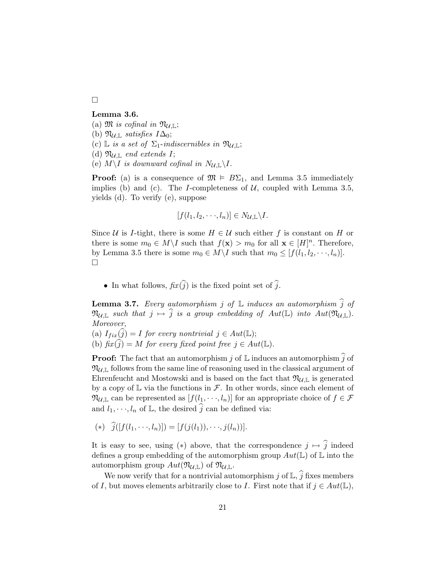¤

## Lemma 3.6.

- (a)  $\mathfrak{M}$  is cofinal in  $\mathfrak{N}_{\mathcal{U}, \mathbb{L}}$ ;
- (b)  $\mathfrak{N}_{\mathcal{U}, \mathbb{L}}$  satisfies  $I\Delta_0$ ;
- (c) L is a set of  $\Sigma_1$ -indiscernibles in  $\mathfrak{N}_{\mathcal{U}, \mathbb{L}}$ ;
- (d)  $\mathfrak{N}_{\mathcal{U}, \mathbb{L}}$  end extends I;
- (e)  $M\setminus I$  is downward cofinal in  $N_{\mathcal{U}, \mathbb{L}}\setminus I$ .

**Proof:** (a) is a consequence of  $\mathfrak{M} \models B\Sigma_1$ , and Lemma 3.5 immediately implies (b) and (c). The I-completeness of  $U$ , coupled with Lemma 3.5, yields (d). To verify (e), suppose

$$
[f(l_1, l_2, \cdots, l_n)] \in N_{\mathcal{U}, \mathbb{L}} \backslash I.
$$

Since U is I-tight, there is some  $H \in \mathcal{U}$  such either f is constant on H or there is some  $m_0 \in M \backslash I$  such that  $f(\mathbf{x}) > m_0$  for all  $\mathbf{x} \in [H]^n$ . Therefore, by Lemma 3.5 there is some  $m_0 \in M \backslash I$  such that  $m_0 \leq [f(l_1, l_2, \dots, l_n)].$  $\Box$ 

• In what follows,  $fix(\widehat{j})$  is the fixed point set of  $\widehat{j}$ .

**Lemma 3.7.** Every automorphism j of  $\mathbb L$  induces an automorphism  $\widehat{j}$  of  $\mathfrak{N}_{\mathcal{U}, \mathbb{L}}$  such that  $j \mapsto \widehat{j}$  is a group embedding of  $Aut(\mathbb{L})$  into  $Aut(\mathfrak{N}_{\mathcal{U}, \mathbb{L}})$ . Moreover, (a)  $I_{fix}(j) = I$  for every nontrivial  $j \in Aut(\mathbb{L});$ 

(b)  $\hat{f}(\widehat{i}) = M$  for every fixed point free  $j \in Aut(\mathbb{L}).$ 

**Proof:** The fact that an automorphism j of  $\mathbb L$  induces an automorphism  $\hat{j}$  of  $\mathfrak{N}_{\mathcal{U}, \mathbb{L}}$  follows from the same line of reasoning used in the classical argument of Ehrenfeucht and Mostowski and is based on the fact that  $\mathfrak{N}_{\mathcal{U},\mathbb{L}}$  is generated by a copy of  $\mathbb L$  via the functions in  $\mathcal F$ . In other words, since each element of  $\mathfrak{N}_{\mathcal{U},\mathbb{L}}$  can be represented as  $[f(l_1,\cdots,l_n)]$  for an appropriate choice of  $f \in \mathcal{F}$ and  $l_1, \dots, l_n$  of  $\mathbb{L}$ , the desired j can be defined via:

(\*) 
$$
\hat{j}([f(l_1, \dots, l_n)]) = [f(j(l_1)), \dots, j(l_n))].
$$

It is easy to see, using (\*) above, that the correspondence  $j \mapsto \hat{j}$  indeed defines a group embedding of the automorphism group  $Aut(\mathbb{L})$  of  $\mathbb L$  into the automorphism group  $Aut(\mathfrak{N}_{\mathcal{U},\mathbb{L}})$  of  $\mathfrak{N}_{\mathcal{U},\mathbb{L}}$ .

We now verify that for a nontrivial automorphism j of  $\mathbb{L}, \hat{j}$  fixes members of I, but moves elements arbitrarily close to I. First note that if  $j \in Aut(\mathbb{L}),$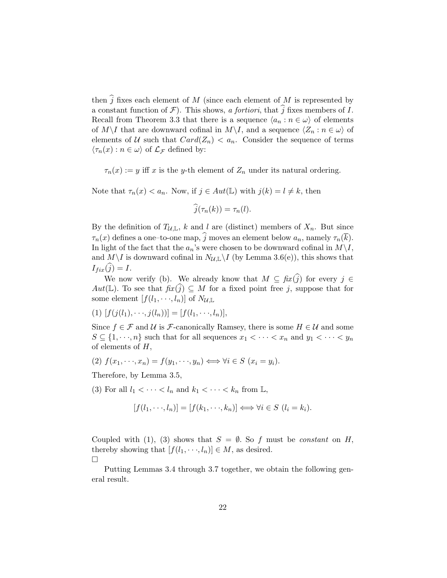then  $\hat{j}$  fixes each element of M (since each element of M is represented by a constant function of  $\mathcal{F}$ ). This shows, a fortiori, that  $\hat{j}$  fixes members of I. Recall from Theorem 3.3 that there is a sequence  $\langle a_n : n \in \omega \rangle$  of elements of  $M\setminus I$  that are downward cofinal in  $M\setminus I$ , and a sequence  $\langle Z_n : n \in \omega \rangle$  of elements of U such that  $Card(Z_n) < a_n$ . Consider the sequence of terms  $\langle \tau_n(x) : n \in \omega \rangle$  of  $\mathcal{L}_{\mathcal{F}}$  defined by:

 $\tau_n(x) := y$  iff x is the y-th element of  $Z_n$  under its natural ordering.

Note that  $\tau_n(x) < a_n$ . Now, if  $j \in Aut(\mathbb{L})$  with  $j(k) = l \neq k$ , then

$$
\widehat{j}(\tau_n(k)) = \tau_n(l).
$$

By the definition of  $T_{\mathcal{U}, \mathbb{L}}$ , k and l are (distinct) members of  $X_n$ . But since  $\tau_n(x)$  defines a one–to-one map,  $\hat{j}$  moves an element below  $a_n$ , namely  $\tau_n(\overline{k})$ . In light of the fact that the  $a_n$ 's were chosen to be downward cofinal in  $M\setminus I$ , and  $M\setminus I$  is downward cofinal in  $N_{\mathcal{U},\mathbb{L}}\setminus I$  (by Lemma 3.6(e)), this shows that  $I_{fix}(j) = I.$ 

We now verify (b). We already know that  $M \subseteq \text{fix}(j)$  for every  $j \in$  $Aut(\mathbb{L})$ . To see that  $fix(\hat{j}) \subseteq M$  for a fixed point free j, suppose that for some element  $[f(l_1, \dots, l_n)]$  of  $N_{\mathcal{U}, \mathbb{L}}$ 

$$
(1) [f(j(l_1),...,j(l_n))] = [f(l_1,...,l_n)],
$$

Since  $f \in \mathcal{F}$  and  $\mathcal{U}$  is  $\mathcal{F}$ -canonically Ramsey, there is some  $H \in \mathcal{U}$  and some  $S \subseteq \{1, \dots, n\}$  such that for all sequences  $x_1 < \dots < x_n$  and  $y_1 < \dots < y_n$ of elements of  $H$ ,

(2) 
$$
f(x_1, \dots, x_n) = f(y_1, \dots, y_n) \iff \forall i \in S \ (x_i = y_i).
$$

Therefore, by Lemma 3.5,

(3) For all  $l_1 < \cdots < l_n$  and  $k_1 < \cdots < k_n$  from  $\mathbb{L}$ ,

$$
[f(l_1,\dots,l_n)] = [f(k_1,\dots,k_n)] \iff \forall i \in S \ (l_i = k_i).
$$

Coupled with (1), (3) shows that  $S = \emptyset$ . So f must be constant on H, thereby showing that  $[f(l_1, \dots, l_n)] \in M$ , as desired.  $\Box$ 

Putting Lemmas 3.4 through 3.7 together, we obtain the following general result.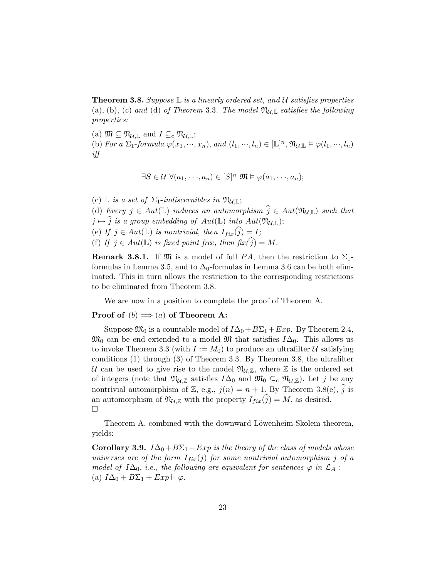**Theorem 3.8.** Suppose  $\mathbb{L}$  is a linearly ordered set, and  $\mathcal{U}$  satisfies properties (a), (b), (c) and (d) of Theorem 3.3. The model  $\mathfrak{N}_{\mathcal{U},\mathbb{L}}$  satisfies the following properties:

(a)  $\mathfrak{M} \subseteq \mathfrak{N}_{\mathcal{U}, \mathbb{L}}$  and  $I \subseteq_e \mathfrak{N}_{\mathcal{U}, \mathbb{L}}$ ; (b) For a  $\Sigma_1$ -formula  $\varphi(x_1,\dots,x_n)$ , and  $(l_1,\dots,l_n) \in [\mathbb{L}]^n$ ,  $\mathfrak{N}_{\mathcal{U},\mathbb{L}} \models \varphi(l_1,\dots,l_n)$ iff

$$
\exists S \in \mathcal{U} \; \forall (a_1, \dots, a_n) \in [S]^n \; \mathfrak{M} \models \varphi(a_1, \dots, a_n);
$$

(c) L is a set of  $\Sigma_1$ -indiscernibles in  $\mathfrak{N}_{\mathcal{U}, \mathbb{L}}$ ; (d) Every  $j \in Aut(\mathbb{L})$  induces an automorphism  $\widehat{j} \in Aut(\mathfrak{N}_{U,\mathbb{L}})$  such that  $j \mapsto \widehat{j}$  is a group embedding of  $Aut(\mathbb{L})$  into  $Aut(\mathfrak{N}_{\mathcal{U},\mathbb{L}});$ (e) If  $j \in Aut(\mathbb{L})$  is nontrivial, then  $I_{fix}(\widehat{j}) = I;$ (f) If  $j \in Aut(\mathbb{L})$  is fixed point free, then  $\operatorname{fix}(\hat{j}) = M$ .

**Remark 3.8.1.** If  $\mathfrak{M}$  is a model of full PA, then the restriction to  $\Sigma_1$ formulas in Lemma 3.5, and to  $\Delta_0$ -formulas in Lemma 3.6 can be both eliminated. This in turn allows the restriction to the corresponding restrictions to be eliminated from Theorem 3.8.

We are now in a position to complete the proof of Theorem A.

## **Proof of**  $(b) \Longrightarrow (a)$  of Theorem A:

Suppose  $\mathfrak{M}_0$  is a countable model of  $I\Delta_0+B\Sigma_1+Exp$ . By Theorem 2.4,  $\mathfrak{M}_0$  can be end extended to a model  $\mathfrak{M}$  that satisfies  $I\Delta_0$ . This allows us to invoke Theorem 3.3 (with  $I := M_0$ ) to produce an ultrafilter U satisfying conditions (1) through (3) of Theorem 3.3. By Theorem 3.8, the ultrafilter U can be used to give rise to the model  $\mathfrak{N}_{\mathcal{U},\mathbb{Z}}$ , where  $\mathbb Z$  is the ordered set of integers (note that  $\mathfrak{N}_{\mathcal{U},\mathbb{Z}}$  satisfies  $I\Delta_0$  and  $\mathfrak{M}_0 \subseteq_e \mathfrak{N}_{\mathcal{U},\mathbb{Z}}$ ). Let j be any nontrivial automorphism of Z, e.g.,  $j(n) = n + 1$ . By Theorem 3.8(e),  $\hat{j}$  is an automorphism of  $\mathfrak{N}_{\mathcal{U},\mathbb{Z}}$  with the property  $I_{fix}(j) = M$ , as desired. ¤

Theorem A, combined with the downward Löwenheim-Skolem theorem, yields:

**Corollary 3.9.**  $I\Delta_0 + B\Sigma_1 + Exp$  is the theory of the class of models whose universes are of the form  $I_{fix}(j)$  for some nontrivial automorphism j of a model of  $I\Delta_0$ , i.e., the following are equivalent for sentences  $\varphi$  in  $\mathcal{L}_A$ : (a)  $I\Delta_0 + B\Sigma_1 + Exp \vdash \varphi$ .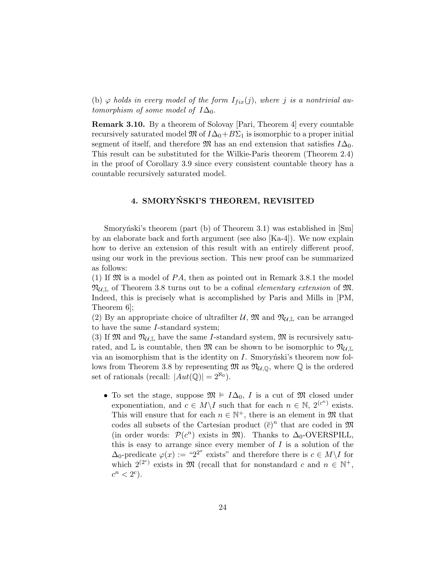(b)  $\varphi$  holds in every model of the form  $I_{fix}(j)$ , where j is a nontrivial automorphism of some model of  $I\Delta_0$ .

Remark 3.10. By a theorem of Solovay [Pari, Theorem 4] every countable recursively saturated model  $\mathfrak{M}$  of  $I\Delta_0+BC_1$  is isomorphic to a proper initial segment of itself, and therefore  $\mathfrak{M}$  has an end extension that satisfies  $I\Delta_0$ . This result can be substituted for the Wilkie-Paris theorem (Theorem 2.4) in the proof of Corollary 3.9 since every consistent countable theory has a countable recursively saturated model.

## 4. SMORYŃSKI'S THEOREM, REVISITED

Smorynski's theorem (part (b) of Theorem 3.1) was established in  $\lfloor Sm \rfloor$ by an elaborate back and forth argument (see also [Ka-4]). We now explain how to derive an extension of this result with an entirely different proof, using our work in the previous section. This new proof can be summarized as follows:

(1) If  $\mathfrak{M}$  is a model of PA, then as pointed out in Remark 3.8.1 the model  $\mathfrak{N}_{\mathcal{U},\mathbb{L}}$  of Theorem 3.8 turns out to be a cofinal *elementary extension* of  $\mathfrak{M}$ . Indeed, this is precisely what is accomplished by Paris and Mills in [PM, Theorem 6];

(2) By an appropriate choice of ultrafilter U,  $\mathfrak{M}$  and  $\mathfrak{N}_{U,\mathbb{L}}$  can be arranged to have the same I-standard system;

(3) If  $\mathfrak{M}$  and  $\mathfrak{N}_{\mathcal{U},\mathbb{L}}$  have the same *I*-standard system,  $\mathfrak{M}$  is recursively saturated, and  $\mathbb L$  is countable, then M can be shown to be isomorphic to  $\mathfrak{N}_{\mathcal{U},\mathbb{L}}$ via an isomorphism that is the identity on  $I$ . Smoryński's theorem now follows from Theorem 3.8 by representing  $\mathfrak{M}$  as  $\mathfrak{N}_{\mathcal{U},\mathbb{Q}}$ , where  $\mathbb Q$  is the ordered set of rationals (recall:  $|Aut(\mathbb{Q})| = 2^{\aleph_0}$ ).

• To set the stage, suppose  $\mathfrak{M} \models I\Delta_0$ , I is a cut of M closed under exponentiation, and  $c \in M \backslash I$  such that for each  $n \in \mathbb{N}$ ,  $2^{(c^n)}$  exists. This will ensure that for each  $n \in \mathbb{N}^+$ , there is an element in  $\mathfrak{M}$  that codes all subsets of the Cartesian product  $(\bar{c})^n$  that are coded in  $\mathfrak{M}$ (in order words:  $\mathcal{P}(c^n)$  exists in  $\mathfrak{M}$ ). Thanks to  $\Delta_0$ -OVERSPILL, this is easy to arrange since every member of  $I$  is a solution of the  $\Delta_0$ -predicate  $\varphi(x) := {}^{\omega}2^{x}$  exists" and therefore there is  $c \in M \backslash I$  for which  $2^{(2^c)}$  exists in M (recall that for nonstandard c and  $n \in \mathbb{N}^+$ ,  $c^n < 2^c$ ).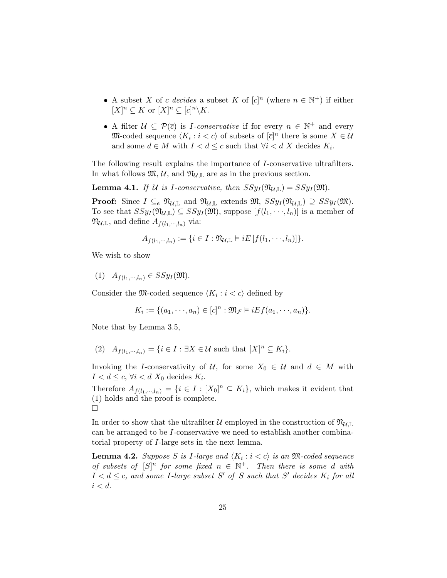- A subset X of  $\bar{c}$  decides a subset K of  $[\bar{c}]^n$  (where  $n \in \mathbb{N}^+$ ) if either  $[X]^n \subseteq K$  or  $[X]^n \subseteq [\overline{c}]^n \backslash K$ .
- A filter  $\mathcal{U} \subseteq \mathcal{P}(\bar{c})$  is *I*-conservative if for every  $n \in \mathbb{N}^+$  and every  $\mathfrak{M}\text{-}\mathrm{coded}$  sequence  $\langle K_i : i < c \rangle$  of subsets of  $[\overline{c}]^n$  there is some  $X \in \mathcal{U}$ and some  $d \in M$  with  $I < d \leq c$  such that  $\forall i < d$  X decides  $K_i$ .

The following result explains the importance of I-conservative ultrafilters. In what follows  $\mathfrak{M}, \mathcal{U},$  and  $\mathfrak{N}_{\mathcal{U}, \mathbb{L}}$  are as in the previous section.

**Lemma 4.1.** If U is I-conservative, then  $SSyI(\mathfrak{N}_{U,\mathbb{L}}) = SSyI(\mathfrak{M})$ .

**Proof:** Since  $I \subseteq_e \mathfrak{N}_{\mathcal{U}, \mathbb{L}}$  and  $\mathfrak{N}_{\mathcal{U}, \mathbb{L}}$  extends  $\mathfrak{M}, SSy_I(\mathfrak{N}_{\mathcal{U}, \mathbb{L}}) \supseteq SSy_I(\mathfrak{M})$ . To see that  $SSy_I(\mathfrak{N}_{\mathcal{U},\mathbb{L}}) \subseteq SSy_I(\mathfrak{M})$ , suppose  $[f(l_1,\dots,l_n)]$  is a member of  $\mathfrak{N}_{\mathcal{U}, \mathbb{L}}$ , and define  $A_{f(l_1, \dots, l_n)}$  via:

$$
A_{f(l_1,\cdots,l_n)}:=\{i\in I:\mathfrak{N}_{\mathcal{U},\mathbb{L}}\vDash iE\left[f(l_1,\cdots,l_n)\right]\}.
$$

We wish to show

(1)  $A_{f(l_1,\cdots,l_n)} \in SSy_I(\mathfrak{M}).$ 

Consider the M-coded sequence  $\langle K_i : i < c \rangle$  defined by

$$
K_i := \{ (a_1, \dots, a_n) \in [\overline{c}]^n : \mathfrak{M}_{\mathcal{F}} \models iEf(a_1, \dots, a_n) \}.
$$

Note that by Lemma 3.5,

(2)  $A_{f(l_1,\dots,l_n)} = \{i \in I : \exists X \in \mathcal{U} \text{ such that } [X]^n \subseteq K_i\}.$ 

Invoking the I-conservativity of U, for some  $X_0 \in U$  and  $d \in M$  with  $I < d \leq c, \forall i < d$   $X_0$  decides  $K_i$ .

Therefore  $A_{f(l_1,\dots,l_n)} = \{i \in I : [X_0]^n \subseteq K_i\}$ , which makes it evident that (1) holds and the proof is complete. ¤

In order to show that the ultrafilter U employed in the construction of  $\mathfrak{N}_{U,\mathbb{L}}$ can be arranged to be I-conservative we need to establish another combinatorial property of I-large sets in the next lemma.

**Lemma 4.2.** Suppose S is I-large and  $\langle K_i : i < c \rangle$  is an M-coded sequence of subsets of  $[S]^n$  for some fixed  $n \in \mathbb{N}^+$ . Then there is some d with  $I < d \leq c$ , and some I-large subset S' of S such that S' decides  $K_i$  for all  $i < d$ .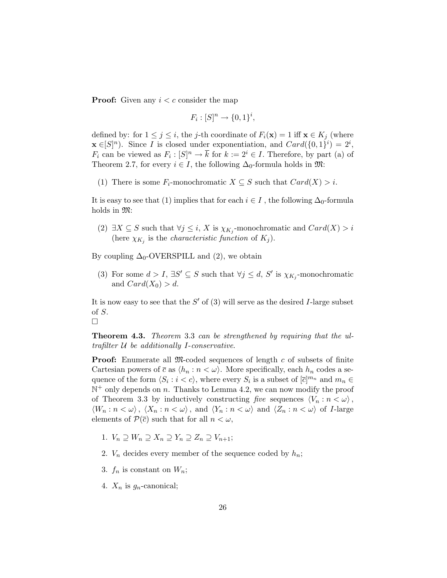**Proof:** Given any  $i < c$  consider the map

$$
F_i : [S]^n \to \{0, 1\}^i,
$$

defined by: for  $1 \leq j \leq i$ , the j-th coordinate of  $F_i(\mathbf{x}) = 1$  iff  $\mathbf{x} \in K_j$  (where  $\mathbf{x} \in [S]^n$ ). Since *I* is closed under exponentiation, and  $Card(\{0,1\}^i) = 2^i$ ,  $F_i$  can be viewed as  $F_i: [S]^n \to \overline{k}$  for  $k := 2^i \in I$ . Therefore, by part (a) of Theorem 2.7, for every  $i \in I$ , the following  $\Delta_0$ -formula holds in  $\mathfrak{M}$ :

(1) There is some  $F_i$ -monochromatic  $X \subseteq S$  such that  $Card(X) > i$ .

It is easy to see that (1) implies that for each  $i \in I$ , the following  $\Delta_0$ -formula holds in  $\mathfrak{M}$ :

(2)  $\exists X \subseteq S$  such that  $\forall j \leq i$ , X is  $\chi_{K_j}$ -monochromatic and  $Card(X) > i$ (here  $\chi_{K_j}$  is the *characteristic function* of  $K_j$ ).

By coupling  $\Delta_0$ -OVERSPILL and (2), we obtain

(3) For some  $d > I$ ,  $\exists S' \subseteq S$  such that  $\forall j \leq d$ , S' is  $\chi_{K_j}$ -monochromatic and  $Card(X_0)>d$ .

It is now easy to see that the  $S'$  of (3) will serve as the desired I-large subset of S.

¤

Theorem 4.3. Theorem 3.3 can be strengthened by requiring that the ultrafilter  $U$  be additionally I-conservative.

**Proof:** Enumerate all M-coded sequences of length c of subsets of finite Cartesian powers of  $\bar{c}$  as  $\langle h_n : n < \omega \rangle$ . More specifically, each  $h_n$  codes a sequence of the form  $\langle S_i : i < c \rangle$ , where every  $S_i$  is a subset of  $[\overline{c}]^{m_n}$  and  $m_n \in$  $\mathbb{N}^+$  only depends on n. Thanks to Lemma 4.2, we can now modify the proof of Theorem 3.3 by inductively constructing five sequences  $\langle V_n : n < \omega \rangle$ ,  $\langle W_n : n < \omega \rangle, \langle X_n : n < \omega \rangle, \text{ and } \langle Y_n : n < \omega \rangle \text{ and } \langle Z_n : n < \omega \rangle \text{ of } I\text{-large}$ elements of  $\mathcal{P}(\bar{c})$  such that for all  $n < \omega$ ,

- 1.  $V_n \supseteq W_n \supseteq X_n \supseteq Y_n \supseteq Z_n \supseteq V_{n+1};$
- 2.  $V_n$  decides every member of the sequence coded by  $h_n$ ;
- 3.  $f_n$  is constant on  $W_n$ ;
- 4.  $X_n$  is  $g_n$ -canonical;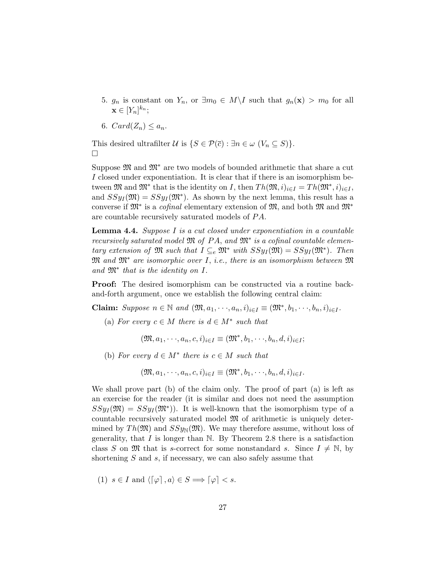- 5.  $g_n$  is constant on  $Y_n$ , or  $\exists m_0 \in M \backslash I$  such that  $g_n(\mathbf{x}) > m_0$  for all  $\mathbf{x} \in [Y_n]^{k_n};$
- 6.  $Card(Z_n)\leq a_n$ .

This desired ultrafilter  $\mathcal U$  is  $\{S \in \mathcal P(\bar c): \exists n \in \omega \; (V_n \subseteq S)\}.$  $\Box$ 

Suppose  $\mathfrak{M}$  and  $\mathfrak{M}^*$  are two models of bounded arithmetic that share a cut I closed under exponentiation. It is clear that if there is an isomorphism between  $\mathfrak{M}$  and  $\mathfrak{M}^*$  that is the identity on I, then  $Th(\mathfrak{M}, i)_{i \in I} = Th(\mathfrak{M}^*, i)_{i \in I}$ , and  $SSy_I(\mathfrak{M}) = SSy_I(\mathfrak{M}^*)$ . As shown by the next lemma, this result has a converse if  $\mathfrak{M}^*$  is a *cofinal* elementary extension of  $\mathfrak{M}$ , and both  $\mathfrak{M}$  and  $\mathfrak{M}^*$ are countable recursively saturated models of  $PA$ .

**Lemma 4.4.** Suppose I is a cut closed under exponentiation in a countable recursively saturated model  $\mathfrak M$  of  $PA$ , and  $\mathfrak M^*$  is a cofinal countable elementary extension of  $\mathfrak{M}$  such that  $I \subseteq_e \mathfrak{M}^*$  with  $SSy_I(\mathfrak{M}) = SSy_I(\mathfrak{M}^*)$ . Then  $\mathfrak{M}$  and  $\mathfrak{M}^*$  are isomorphic over I, i.e., there is an isomorphism between  $\mathfrak{M}$ and  $\mathfrak{M}^*$  that is the identity on I.

Proof: The desired isomorphism can be constructed via a routine backand-forth argument, once we establish the following central claim:

**Claim:** Suppose  $n \in \mathbb{N}$  and  $(\mathfrak{M}, a_1, \dots, a_n, i)_{i \in I} \equiv (\mathfrak{M}^*, b_1, \dots, b_n, i)_{i \in I}$ .

(a) For every  $c \in M$  there is  $d \in M^*$  such that

$$
(\mathfrak{M}, a_1, \dots, a_n, c, i)_{i \in I} \equiv (\mathfrak{M}^*, b_1, \dots, b_n, d, i)_{i \in I};
$$

(b) For every  $d \in M^*$  there is  $c \in M$  such that

$$
(\mathfrak{M}, a_1, \dots, a_n, c, i)_{i \in I} \equiv (\mathfrak{M}^*, b_1, \dots, b_n, d, i)_{i \in I}.
$$

We shall prove part (b) of the claim only. The proof of part (a) is left as an exercise for the reader (it is similar and does not need the assumption  $SSy_I(\mathfrak{M}) = SSy_I(\mathfrak{M}^*)$ . It is well-known that the isomorphism type of a countable recursively saturated model M of arithmetic is uniquely determined by  $Th(\mathfrak{M})$  and  $SSy_{\mathbb{N}}(\mathfrak{M})$ . We may therefore assume, without loss of generality, that  $I$  is longer than N. By Theorem 2.8 there is a satisfaction class S on  $\mathfrak{M}$  that is s-correct for some nonstandard s. Since  $I \neq \mathbb{N}$ , by shortening  $S$  and  $s$ , if necessary, we can also safely assume that

(1)  $s \in I$  and  $\langle [\varphi], a \rangle \in S \Longrightarrow [\varphi] < s$ .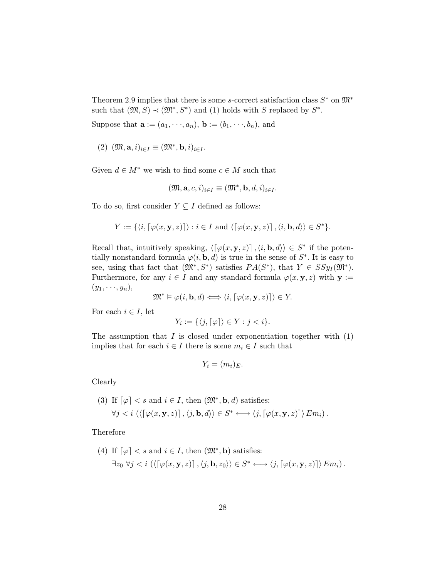Theorem 2.9 implies that there is some s-correct satisfaction class  $S^*$  on  $\mathfrak{M}^*$ such that  $(\mathfrak{M}, S) \prec (\mathfrak{M}^*, S^*)$  and (1) holds with S replaced by  $S^*$ .

Suppose that  $\mathbf{a} := (a_1, \dots, a_n)$ ,  $\mathbf{b} := (b_1, \dots, b_n)$ , and

(2)  $(\mathfrak{M}, \mathbf{a}, i)_{i \in I} \equiv (\mathfrak{M}^*, \mathbf{b}, i)_{i \in I}$ .

Given  $d \in M^*$  we wish to find some  $c \in M$  such that

$$
(\mathfrak{M}, \mathbf{a}, c, i)_{i \in I} \equiv (\mathfrak{M}^*, \mathbf{b}, d, i)_{i \in I}.
$$

To do so, first consider  $Y \subseteq I$  defined as follows:

$$
Y := \{ \langle i, \lceil \varphi(x, \mathbf{y}, z) \rceil \rangle : i \in I \text{ and } \langle \lceil \varphi(x, \mathbf{y}, z) \rceil, \langle i, \mathbf{b}, d \rangle \rangle \in S^* \}.
$$

Recall that, intuitively speaking,  $\langle [\varphi(x, y, z)], \langle i, \mathbf{b}, d \rangle \rangle \in S^*$  if the potentially nonstandard formula  $\varphi(i, \mathbf{b}, d)$  is true in the sense of  $S^*$ . It is easy to see, using that fact that  $(\mathfrak{M}^*, S^*)$  satisfies  $PA(S^*)$ , that  $Y \in SSy_I(\mathfrak{M}^*)$ . Furthermore, for any  $i \in I$  and any standard formula  $\varphi(x, y, z)$  with  $y :=$  $(y_1, \dots, y_n),$ 

$$
\mathfrak{M}^* \vDash \varphi(i, \mathbf{b}, d) \Longleftrightarrow \langle i, \lceil \varphi(x, \mathbf{y}, z) \rceil \rangle \in Y.
$$

For each  $i \in I$ , let

$$
Y_i := \{ \langle j, \lceil \varphi \rceil \rangle \in Y : j < i \}.
$$

The assumption that  $I$  is closed under exponentiation together with  $(1)$ implies that for each  $i \in I$  there is some  $m_i \in I$  such that

$$
Y_i = (m_i)_E.
$$

Clearly

(3) If 
$$
\lceil \varphi \rceil < s
$$
 and  $i \in I$ , then  $(\mathfrak{M}^*, \mathbf{b}, d)$  satisfies:  
\n $\forall j < i \left( \langle \lceil \varphi(x, \mathbf{y}, z) \rceil, \langle j, \mathbf{b}, d \rangle \right) \in S^* \longleftrightarrow \langle j, \lceil \varphi(x, \mathbf{y}, z) \rceil \rangle \operatorname{Em}_i \right).$ 

Therefore

(4) If 
$$
\lceil \varphi \rceil
$$
 < s and  $i \in I$ , then  $(\mathfrak{M}^*, \mathbf{b})$  satisfies:  
\n $\exists z_0 \ \forall j \leq i \ (\langle \lceil \varphi(x, \mathbf{y}, z) \rceil, \langle j, \mathbf{b}, z_0 \rangle \rangle \in S^* \longleftrightarrow \langle j, \lceil \varphi(x, \mathbf{y}, z) \rceil \rangle \, Em_i).$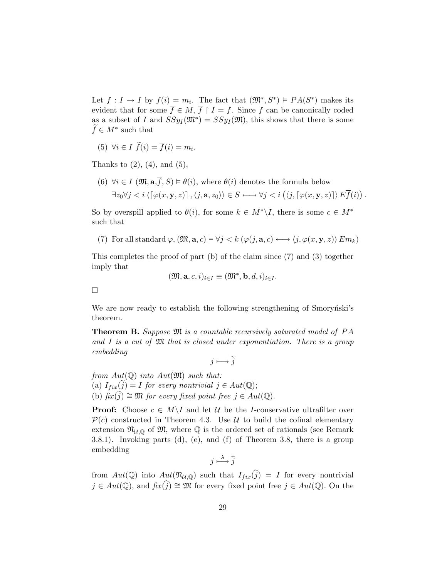Let  $f: I \to I$  by  $f(i) = m_i$ . The fact that  $(\mathfrak{M}^*, S^*) \models PA(S^*)$  makes its evident that for some  $\overline{f} \in M$ ,  $\overline{f} \restriction I = f$ . Since f can be canonically coded as a subset of I and  $SSyI(\mathfrak{M}^*) = SSyI(\mathfrak{M})$ , this shows that there is some  $\widetilde{f} \in M^*$  such that

(5)  $\forall i \in I \ \widetilde{f}(i) = \overline{f}(i) = m_i.$ 

Thanks to  $(2)$ ,  $(4)$ , and  $(5)$ ,

(6)  $\forall i \in I \ (\mathfrak{M}, \mathbf{a}, \overline{f}, S) \models \theta(i)$ , where  $\theta(i)$  denotes the formula below  $\exists z_0 \forall j < i \left\langle \left\lceil \varphi(x, \mathbf{y}, z) \right\rceil, \left\langle j, \mathbf{a}, z_0 \right\rangle \right\rangle \in S \longleftrightarrow \forall j < i \left\langle \left\langle j, \left\lceil \varphi(x, \mathbf{y}, z) \right\rceil \right\rangle E \overline{f}(i) \right\rangle$ ¢ .

So by overspill applied to  $\theta(i)$ , for some  $k \in M^* \backslash I$ , there is some  $c \in M^*$ such that

(7) For all standard  $\varphi$ ,  $(\mathfrak{M}, \mathbf{a}, c) \models \forall j \leq k \ (\varphi(j, \mathbf{a}, c) \longleftrightarrow \langle j, \varphi(x, \mathbf{y}, z) \rangle E_{m_k})$ 

This completes the proof of part (b) of the claim since (7) and (3) together imply that

$$
(\mathfrak{M},\mathbf{a},c,i)_{i\in I}\equiv (\mathfrak{M}^*,\mathbf{b},d,i)_{i\in I}.
$$

 $\Box$ 

We are now ready to establish the following strengthening of Smorynski's theorem.

**Theorem B.** Suppose  $\mathfrak{M}$  is a countable recursively saturated model of PA and I is a cut of  $\mathfrak{M}$  that is closed under exponentiation. There is a group embedding

 $i \mapsto \tilde{i}$ 

from  $Aut(\mathbb{Q})$  into  $Aut(\mathfrak{M})$  such that: (a)  $I_{fix}(j) = I$  for every nontrivial  $j \in Aut(\mathbb{Q});$ (b)  $\hat{f}(x(i)) \cong \mathfrak{M}$  for every fixed point free  $j \in Aut(\mathbb{Q})$ .

**Proof:** Choose  $c \in M \backslash I$  and let U be the I-conservative ultrafilter over  $\mathcal{P}(\bar{c})$  constructed in Theorem 4.3. Use U to build the cofinal elementary extension  $\mathfrak{N}_{\mathcal{U},\mathbb{Q}}$  of  $\mathfrak{M}$ , where  $\mathbb Q$  is the ordered set of rationals (see Remark 3.8.1). Invoking parts (d), (e), and (f) of Theorem 3.8, there is a group embedding

$$
j \stackrel{\lambda}{\longmapsto} \widehat{j}
$$

from  $Aut(\mathbb{Q})$  into  $Aut(\mathfrak{N}_{\mathcal{U},\mathbb{Q}})$  such that  $I_{fix}(\widehat{j}) = I$  for every nontrivial  $j \in Aut(\mathbb{Q})$ , and  $fix(\hat{j}) \cong \mathfrak{M}$  for every fixed point free  $j \in Aut(\mathbb{Q})$ . On the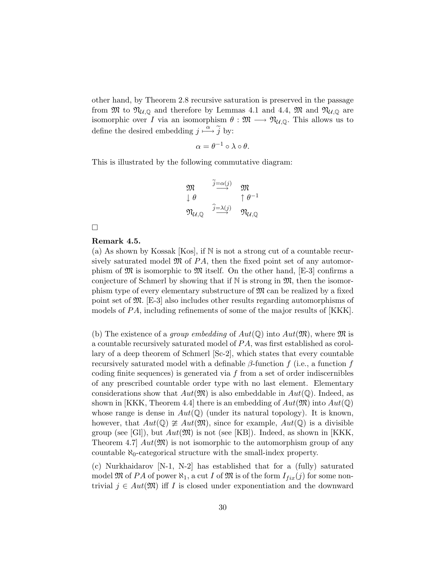other hand, by Theorem 2.8 recursive saturation is preserved in the passage from  $\mathfrak{M}$  to  $\mathfrak{N}_{\mathcal{U},\mathbb{Q}}$  and therefore by Lemmas 4.1 and 4.4,  $\mathfrak{M}$  and  $\mathfrak{N}_{\mathcal{U},\mathbb{Q}}$  are isomorphic over I via an isomorphism  $\theta : \mathfrak{M} \longrightarrow \mathfrak{N}_{\mathcal{U},\mathbb{Q}}$ . This allows us to define the desired embedding  $j \stackrel{\alpha}{\longmapsto} \tilde{j}$  by:

$$
\alpha = \theta^{-1} \circ \lambda \circ \theta.
$$

This is illustrated by the following commutative diagram:

$$
\begin{array}{ccc}\n\mathfrak{M} & \overset{\widetilde{j}=\alpha(j)}{\longrightarrow} & \mathfrak{M} \\
\downarrow \theta & & \uparrow \theta^{-1} \\
\mathfrak{N}_{\mathcal{U},\mathbb{Q}} & \overset{\widehat{j}=\lambda(j)}{\longrightarrow} & \mathfrak{N}_{\mathcal{U},\mathbb{Q}}\n\end{array}
$$

 $\Box$ 

### Remark 4.5.

(a) As shown by Kossak  $[Kos]$ , if N is not a strong cut of a countable recursively saturated model  $\mathfrak{M}$  of PA, then the fixed point set of any automorphism of  $\mathfrak{M}$  is isomorphic to  $\mathfrak{M}$  itself. On the other hand, [E-3] confirms a conjecture of Schmerl by showing that if  $\mathbb N$  is strong in  $\mathfrak{M}$ , then the isomorphism type of every elementary substructure of  $\mathfrak{M}$  can be realized by a fixed point set of M. [E-3] also includes other results regarding automorphisms of models of  $PA$ , including refinements of some of the major results of [KKK].

(b) The existence of a *group embedding* of  $Aut(\mathbb{Q})$  into  $Aut(\mathfrak{M})$ , where  $\mathfrak{M}$  is a countable recursively saturated model of  $PA$ , was first established as corollary of a deep theorem of Schmerl [Sc-2], which states that every countable recursively saturated model with a definable  $\beta$ -function f (i.e., a function f coding finite sequences) is generated via  $f$  from a set of order indiscernibles of any prescribed countable order type with no last element. Elementary considerations show that  $Aut(\mathfrak{M})$  is also embeddable in  $Aut(\mathbb{Q})$ . Indeed, as shown in [KKK, Theorem 4.4] there is an embedding of  $Aut(\mathfrak{M})$  into  $Aut(\mathbb{Q})$ whose range is dense in  $Aut(\mathbb{Q})$  (under its natural topology). It is known, however, that  $Aut(\mathbb{Q}) \ncong Aut(\mathfrak{M})$ , since for example,  $Aut(\mathbb{Q})$  is a divisible group (see [Gl]), but  $Aut(\mathfrak{M})$  is not (see [KB]). Indeed, as shown in [KKK, Theorem 4.7  $Aut(\mathfrak{M})$  is not isomorphic to the automorphism group of any countable  $\aleph_0$ -categorical structure with the small-index property.

(c) Nurkhaidarov [N-1, N-2] has established that for a (fully) saturated model  $\mathfrak M$  of PA of power  $\aleph_1$ , a cut I of  $\mathfrak M$  is of the form  $I_{fix}(j)$  for some nontrivial  $j \in Aut(\mathfrak{M})$  iff I is closed under exponentiation and the downward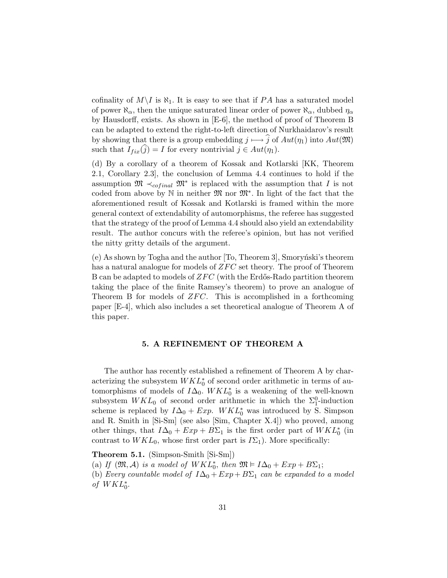cofinality of  $M\setminus I$  is  $\aleph_1$ . It is easy to see that if PA has a saturated model of power  $\aleph_{\alpha}$ , then the unique saturated linear order of power  $\aleph_{\alpha}$ , dubbed  $\eta_{\alpha}$ by Hausdorff, exists. As shown in [E-6], the method of proof of Theorem B can be adapted to extend the right-to-left direction of Nurkhaidarov's result by showing that there is a group embedding  $j \longmapsto \widehat{j}$  of  $Aut(\eta_1)$  into  $Aut(\mathfrak{M})$ such that  $I_{fix}(\hat{j}) = I$  for every nontrivial  $j \in Aut(\eta_1)$ .

(d) By a corollary of a theorem of Kossak and Kotlarski [KK, Theorem 2.1, Corollary 2.3], the conclusion of Lemma 4.4 continues to hold if the assumption  $\mathfrak{M} \prec_{cofinal} \mathfrak{M}^*$  is replaced with the assumption that I is not coded from above by  $\mathbb N$  in neither  $\mathfrak M$  nor  $\mathfrak M^*$ . In light of the fact that the aforementioned result of Kossak and Kotlarski is framed within the more general context of extendability of automorphisms, the referee has suggested that the strategy of the proof of Lemma 4.4 should also yield an extendability result. The author concurs with the referee's opinion, but has not verified the nitty gritty details of the argument.

 $(e)$  As shown by Togha and the author  $[T_0,$  Theorem 3, Smorynski's theorem has a natural analogue for models of  $ZFC$  set theory. The proof of Theorem B can be adapted to models of  $ZFC$  (with the Erdős-Rado partition theorem taking the place of the finite Ramsey's theorem) to prove an analogue of Theorem B for models of  $ZFC$ . This is accomplished in a forthcoming paper [E-4], which also includes a set theoretical analogue of Theorem A of this paper.

### 5. A REFINEMENT OF THEOREM A

The author has recently established a refinement of Theorem A by characterizing the subsystem  $WKL_0^*$  of second order arithmetic in terms of automorphisms of models of  $I\Delta_0$ .  $WKL_0^*$  is a weakening of the well-known subsystem  $WKL_0$  of second order arithmetic in which the  $\Sigma_1^0$ -induction scheme is replaced by  $I\Delta_0 + Exp$ .  $WKL_0^*$  was introduced by S. Simpson and R. Smith in [Si-Sm] (see also [Sim, Chapter X.4]) who proved, among other things, that  $I\Delta_0 + Exp + B\Sigma_1$  is the first order part of  $WKL_0^*$  (in contrast to  $WKL_0$ , whose first order part is  $I\Sigma_1$ ). More specifically:

Theorem 5.1. (Simpson-Smith [Si-Sm])

(a) If  $(\mathfrak{M}, \mathcal{A})$  is a model of  $WKL_0^*$ , then  $\mathfrak{M} \models I\Delta_0 + Exp + B\Sigma_1$ ;

(b) Every countable model of  $I\Delta_0 + Exp + B\Sigma_1$  can be expanded to a model of  $WKL_0^*$ .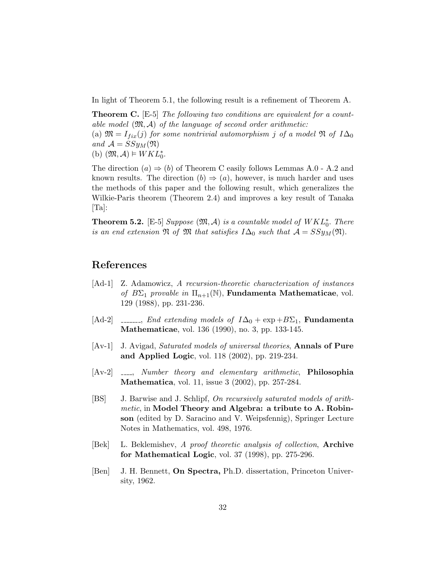In light of Theorem 5.1, the following result is a refinement of Theorem A.

**Theorem C.**  $\begin{bmatrix} \text{E-5} \end{bmatrix}$  The following two conditions are equivalent for a countable model  $(\mathfrak{M}, \mathcal{A})$  of the language of second order arithmetic: (a)  $\mathfrak{M} = I_{fix}(j)$  for some nontrivial automorphism j of a model  $\mathfrak{N}$  of  $I\Delta_0$ and  $A = SSy_M(\mathfrak{N})$ (b)  $(\mathfrak{M}, \mathcal{A}) \models WKL_0^*$ .

The direction  $(a) \Rightarrow (b)$  of Theorem C easily follows Lemmas A.0 - A.2 and known results. The direction  $(b) \Rightarrow (a)$ , however, is much harder and uses the methods of this paper and the following result, which generalizes the Wilkie-Paris theorem (Theorem 2.4) and improves a key result of Tanaka [Ta]:

**Theorem 5.2.** [E-5] Suppose  $(\mathfrak{M}, \mathcal{A})$  is a countable model of  $WKL_0^*$ . There is an end extension  $\mathfrak N$  of  $\mathfrak M$  that satisfies  $I\Delta_0$  such that  $\mathcal A = SSy_M(\mathfrak N)$ .

# References

- [Ad-1] Z. Adamowicz, A recursion-theoretic characterization of instances of  $B\Sigma_1$  provable in  $\Pi_{n+1}(\mathbb{N})$ , Fundamenta Mathematicae, vol. 129 (1988), pp. 231-236.
- [Ad-2]  $\ldots$ , End extending models of  $I\Delta_0 + \exp + B\Sigma_1$ , Fundamenta Mathematicae, vol. 136 (1990), no. 3, pp. 133-145.
- [Av-1] J. Avigad, Saturated models of universal theories, Annals of Pure and Applied Logic, vol. 118 (2002), pp. 219-234.
- $[Av-2]$   $\ldots$ , Number theory and elementary arithmetic, **Philosophia** Mathematica, vol. 11, issue 3 (2002), pp. 257-284.
- [BS] J. Barwise and J. Schlipf, On recursively saturated models of arithmetic, in Model Theory and Algebra: a tribute to A. Robinson (edited by D. Saracino and V. Weipsfennig), Springer Lecture Notes in Mathematics, vol. 498, 1976.
- [Bek] L. Beklemishev, A proof theoretic analysis of collection, Archive for Mathematical Logic, vol. 37 (1998), pp. 275-296.
- [Ben] J. H. Bennett, On Spectra, Ph.D. dissertation, Princeton University, 1962.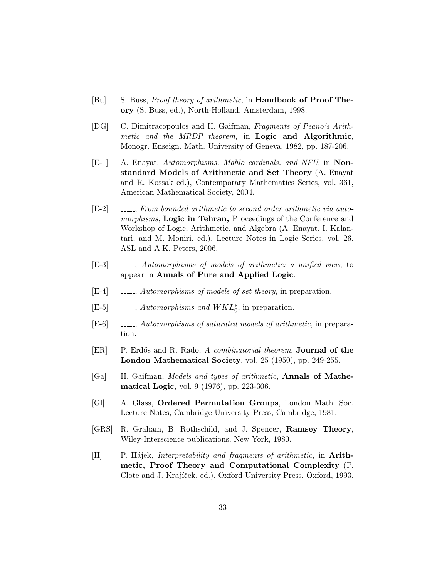- [Bu] S. Buss, *Proof theory of arithmetic*, in **Handbook of Proof The**ory (S. Buss, ed.), North-Holland, Amsterdam, 1998.
- [DG] C. Dimitracopoulos and H. Gaifman, Fragments of Peano's Arithmetic and the MRDP theorem, in **Logic and Algorithmic**, Monogr. Enseign. Math. University of Geneva, 1982, pp. 187-206.
- [E-1] A. Enayat, Automorphisms, Mahlo cardinals, and NFU, in Nonstandard Models of Arithmetic and Set Theory (A. Enayat and R. Kossak ed.), Contemporary Mathematics Series, vol. 361, American Mathematical Society, 2004.
- [E-2]  $\quad \quad \text{---}$ , From bounded arithmetic to second order arithmetic via automorphisms, Logic in Tehran, Proceedings of the Conference and Workshop of Logic, Arithmetic, and Algebra (A. Enayat. I. Kalantari, and M. Moniri, ed.), Lecture Notes in Logic Series, vol. 26, ASL and A.K. Peters, 2006.
- [E-3] , Automorphisms of models of arithmetic: a unified view, to appear in Annals of Pure and Applied Logic.
- [E-4]  $\quad \quad \_ \_ \_$  Automorphisms of models of set theory, in preparation.
- [E-5]  $\qquad \qquad \ldots, \,Automorphisms \, and \, WKL_0^*$ , in preparation.
- [E-6]  $\qquad \qquad \ldots, \text{Automorphisms of saturated models of arithmetic, in prepara-}$ tion.
- [ER] P. Erdős and R. Rado, A combinatorial theorem, **Journal of the** London Mathematical Society, vol. 25 (1950), pp. 249-255.
- [Ga] H. Gaifman, Models and types of arithmetic, Annals of Mathematical Logic, vol. 9 (1976), pp. 223-306.
- [Gl] A. Glass, Ordered Permutation Groups, London Math. Soc. Lecture Notes, Cambridge University Press, Cambridge, 1981.
- [GRS] R. Graham, B. Rothschild, and J. Spencer, Ramsey Theory, Wiley-Interscience publications, New York, 1980.
- $[H]$  P. Hájek, *Interpretability and fragments of arithmetic*, in **Arith**metic, Proof Theory and Computational Complexity (P. Clote and J. Krajíček, ed.), Oxford University Press, Oxford, 1993.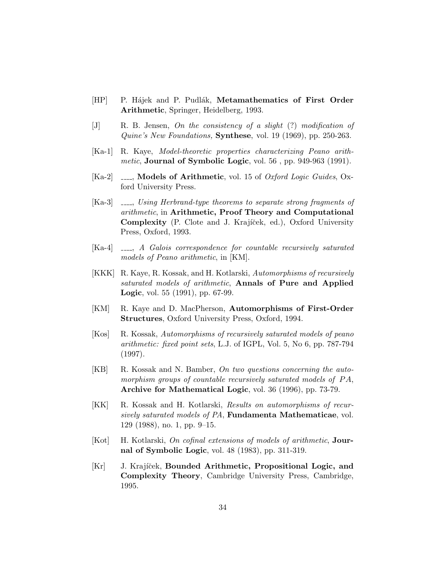- [HP] P. Hájek and P. Pudlák, Metamathematics of First Order Arithmetic, Springer, Heidelberg, 1993.
- [J] R. B. Jensen, On the consistency of a slight (?) modification of Quine's New Foundations, Synthese, vol. 19 (1969), pp. 250-263.
- [Ka-1] R. Kaye, Model-theoretic properties characterizing Peano arithmetic, Journal of Symbolic Logic, vol. 56, pp. 949-963 (1991).
- [Ka-2]  $\quad$  \_\_\_, Models of Arithmetic, vol. 15 of Oxford Logic Guides, Oxford University Press.
- $[Ka-3]$   $\quad \quad \ldots$ , Using Herbrand-type theorems to separate strong fragments of arithmetic, in Arithmetic, Proof Theory and Computational Complexity (P. Clote and J. Krajíček, ed.), Oxford University Press, Oxford, 1993.
- [Ka-4]  $\ldots$ , A Galois correspondence for countable recursively saturated models of Peano arithmetic, in [KM].
- [KKK] R. Kaye, R. Kossak, and H. Kotlarski, Automorphisms of recursively saturated models of arithmetic, Annals of Pure and Applied Logic, vol. 55 (1991), pp. 67-99.
- [KM] R. Kaye and D. MacPherson, **Automorphisms of First-Order** Structures, Oxford University Press, Oxford, 1994.
- [Kos] R. Kossak, Automorphisms of recursively saturated models of peano arithmetic: fixed point sets, L.J. of IGPL, Vol. 5, No 6, pp. 787-794 (1997).
- [KB] R. Kossak and N. Bamber, On two questions concerning the automorphism groups of countable recursively saturated models of  $PA$ , Archive for Mathematical Logic, vol. 36 (1996), pp. 73-79.
- [KK] R. Kossak and H. Kotlarski, Results on automorphisms of recursively saturated models of PA, Fundamenta Mathematicae, vol. 129 (1988), no. 1, pp. 9–15.
- [Kot] H. Kotlarski, On cofinal extensions of models of arithmetic, **Jour**nal of Symbolic Logic, vol. 48 (1983), pp. 311-319.
- [Kr] J. Krajíček, Bounded Arithmetic, Propositional Logic, and Complexity Theory, Cambridge University Press, Cambridge, 1995.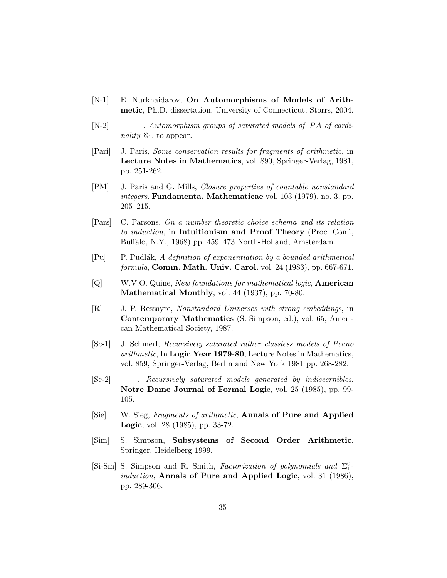- [N-1] E. Nurkhaidarov, On Automorphisms of Models of Arithmetic, Ph.D. dissertation, University of Connecticut, Storrs, 2004.
- $[N-2]$  , and all all all all all all squares of saturated models of PA of cardinality  $\aleph_1$ , to appear.
- [Pari] J. Paris, Some conservation results for fragments of arithmetic, in Lecture Notes in Mathematics, vol. 890, Springer-Verlag, 1981, pp. 251-262.
- [PM] J. Paris and G. Mills, Closure properties of countable nonstandard integers. Fundamenta. Mathematicae vol. 103 (1979), no. 3, pp. 205–215.
- [Pars] C. Parsons, On a number theoretic choice schema and its relation to induction, in Intuitionism and Proof Theory (Proc. Conf., Buffalo, N.Y., 1968) pp. 459–473 North-Holland, Amsterdam.
- $[Pu]$  P. Pudlák, A definition of exponentiation by a bounded arithmetical formula, Comm. Math. Univ. Carol. vol. 24 (1983), pp. 667-671.
- [Q] W.V.O. Quine, New foundations for mathematical logic, **American** Mathematical Monthly, vol. 44 (1937), pp. 70-80.
- [R] J. P. Ressayre, Nonstandard Universes with strong embeddings, in Contemporary Mathematics (S. Simpson, ed.), vol. 65, American Mathematical Society, 1987.
- [Sc-1] J. Schmerl, Recursively saturated rather classless models of Peano arithmetic, In Logic Year 1979-80, Lecture Notes in Mathematics, vol. 859, Springer-Verlag, Berlin and New York 1981 pp. 268-282.
- [Sc-2]  $\quad$  \_\_\_\_\_, Recursively saturated models generated by indiscernibles, Notre Dame Journal of Formal Logic, vol. 25 (1985), pp. 99- 105.
- [Sie] W. Sieg, Fragments of arithmetic, Annals of Pure and Applied Logic, vol. 28 (1985), pp. 33-72.
- [Sim] S. Simpson, Subsystems of Second Order Arithmetic, Springer, Heidelberg 1999.
- [Si-Sm] S. Simpson and R. Smith, Factorization of polynomials and  $\Sigma^0_1$ induction, Annals of Pure and Applied Logic, vol. 31 (1986), pp. 289-306.